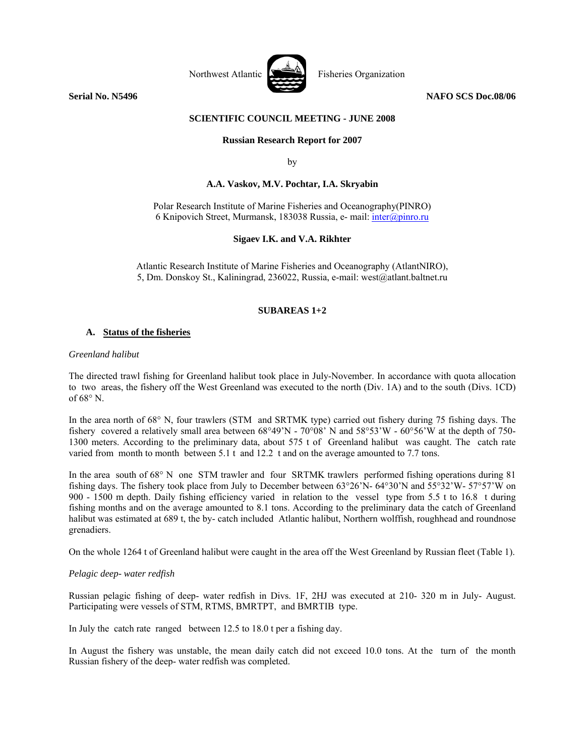

**Serial No. N5496** NAFO SCS Doc.08/06

## **SCIENTIFIC COUNCIL MEETING - JUNE 2008**

## **Russian Research Report for 2007**

by

## **A.A. Vaskov, M.V. Pochtar, I.A. Skryabin**

Polar Research Institute of Marine Fisheries and Oceanography(PINRO) 6 Knipovich Street, Murmansk, 183038 Russia, e- mail: inter@pinro.ru

## **Sigaev I.K. and V.A. Rikhter**

Atlantic Research Institute of Marine Fisheries and Oceanography (AtlantNIRO), 5, Dm. Donskoy St., Kaliningrad, 236022, Russia, e-mail: west@atlant.baltnet.ru

# **SUBAREAS 1+2**

## **A. Status of the fisheries**

#### *Greenland halibut*

The directed trawl fishing for Greenland halibut took place in July-November. In accordance with quota allocation to two areas, the fishery off the West Greenland was executed to the north (Div. 1A) and to the south (Divs. 1CD) of 68° N.

In the area north of 68° N, four trawlers (STM and SRTMK type) carried out fishery during 75 fishing days. The fishery covered a relatively small area between 68°49'N - 70°08' N and 58°53'W - 60°56'W at the depth of 750- 1300 meters. According to the preliminary data, about 575 t of Greenland halibut was caught. The catch rate varied from month to month between 5.1 t and 12.2 t and on the average amounted to 7.7 tons.

In the area south of 68° N one STM trawler and four SRTMK trawlers performed fishing operations during 81 fishing days. The fishery took place from July to December between 63°26'N- 64°30'N and 55°32'W- 57°57'W on 900 - 1500 m depth. Daily fishing efficiency varied in relation to the vessel type from 5.5 t to 16.8 t during fishing months and on the average amounted to 8.1 tons. According to the preliminary data the catch of Greenland halibut was estimated at 689 t, the by- catch included Atlantic halibut, Northern wolffish, roughhead and roundnose grenadiers.

On the whole 1264 t of Greenland halibut were caught in the area off the West Greenland by Russian fleet (Table 1).

## *Pelagic deep- water redfish*

Russian pelagic fishing of deep- water redfish in Divs. 1F, 2HJ was executed at 210- 320 m in July- August. Participating were vessels of STM, RTMS, BMRTPT, and BMRTIB type.

In July the catch rate ranged between 12.5 to 18.0 t per a fishing day.

In August the fishery was unstable, the mean daily catch did not exceed 10.0 tons. At the turn of the month Russian fishery of the deep- water redfish was completed.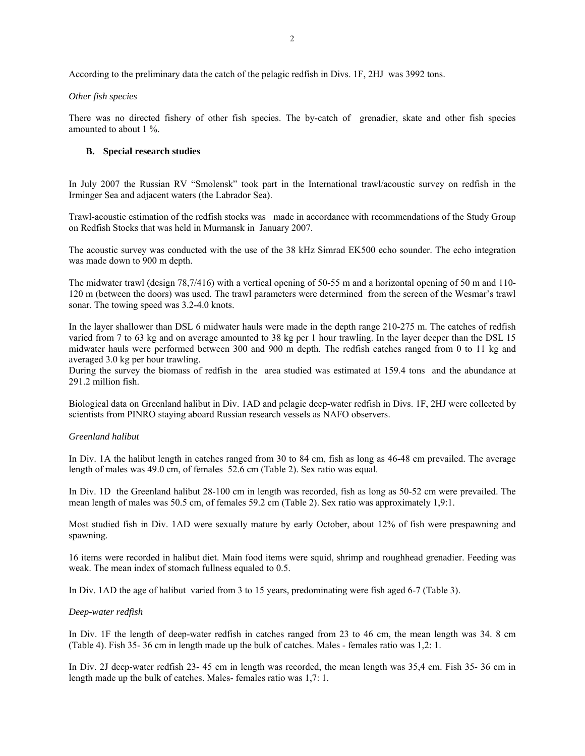## *Other fish species*

There was no directed fishery of other fish species. The by-catch of grenadier, skate and other fish species amounted to about 1 %.

# **B. Special research studies**

In July 2007 the Russian RV "Smolensk" took part in the International trawl/acoustic survey on redfish in the Irminger Sea and adjacent waters (the Labrador Sea).

Trawl-acoustic estimation of the redfish stocks was made in accordance with recommendations of the Study Group on Redfish Stocks that was held in Murmansk in January 2007.

The acoustic survey was conducted with the use of the 38 kHz Simrad EK500 echo sounder. The echo integration was made down to 900 m depth.

The midwater trawl (design 78,7/416) with a vertical opening of 50-55 m and a horizontal opening of 50 m and 110- 120 m (between the doors) was used. The trawl parameters were determined from the screen of the Wesmar's trawl sonar. The towing speed was 3.2-4.0 knots.

In the layer shallower than DSL 6 midwater hauls were made in the depth range 210-275 m. The catches of redfish varied from 7 to 63 kg and on average amounted to 38 kg per 1 hour trawling. In the layer deeper than the DSL 15 midwater hauls were performed between 300 and 900 m depth. The redfish catches ranged from 0 to 11 kg and averaged 3.0 kg per hour trawling.

During the survey the biomass of redfish in the area studied was estimated at 159.4 tons and the abundance at 291.2 million fish.

Biological data on Greenland halibut in Div. 1AD and pelagic deep-water redfish in Divs. 1F, 2HJ were collected by scientists from PINRO staying aboard Russian research vessels as NAFO observers.

# *Greenland halibut*

In Div. 1A the halibut length in catches ranged from 30 to 84 cm, fish as long as 46-48 cm prevailed. The average length of males was 49.0 cm, of females 52.6 cm (Table 2). Sex ratio was equal.

In Div. 1D the Greenland halibut 28-100 cm in length was recorded, fish as long as 50-52 cm were prevailed. The mean length of males was 50.5 cm, of females 59.2 cm (Table 2). Sex ratio was approximately 1,9:1.

Most studied fish in Div. 1AD were sexually mature by early October, about 12% of fish were prespawning and spawning.

16 items were recorded in halibut diet. Main food items were squid, shrimp and roughhead grenadier. Feeding was weak. The mean index of stomach fullness equaled to 0.5.

In Div. 1AD the age of halibut varied from 3 to 15 years, predominating were fish aged 6-7 (Table 3).

## *Deep-water redfish*

In Div. 1F the length of deep-water redfish in catches ranged from 23 to 46 cm, the mean length was 34. 8 cm (Table 4). Fish 35- 36 cm in length made up the bulk of catches. Males - females ratio was 1,2: 1.

In Div. 2J deep-water redfish 23- 45 cm in length was recorded, the mean length was 35,4 cm. Fish 35- 36 cm in length made up the bulk of catches. Males- females ratio was 1,7: 1.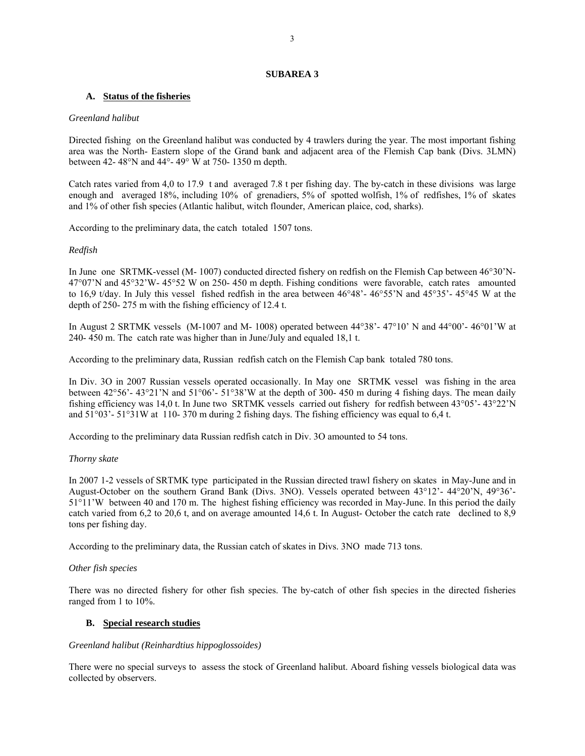## **SUBAREA 3**

## **A. Status of the fisheries**

### *Greenland halibut*

Directed fishing on the Greenland halibut was conducted by 4 trawlers during the year. The most important fishing area was the North- Eastern slope of the Grand bank and adjacent area of the Flemish Cap bank (Divs. 3LMN) between 42- 48°N and 44°- 49° W at 750- 1350 m depth.

Catch rates varied from 4,0 to 17.9 t and averaged 7.8 t per fishing day. The by-catch in these divisions was large enough and averaged 18%, including 10% of grenadiers, 5% of spotted wolfish, 1% of redfishes, 1% of skates and 1% of other fish species (Atlantic halibut, witch flounder, American plaice, cod, sharks).

According to the preliminary data, the catch totaled 1507 tons.

## *Redfish*

In June one SRTMK-vessel (M- 1007) conducted directed fishery on redfish on the Flemish Cap between 46°30'N-47°07'N and 45°32'W- 45°52 W on 250- 450 m depth. Fishing conditions were favorable, catch rates amounted to 16,9 t/day. In July this vessel fished redfish in the area between 46°48'- 46°55'N and 45°35'- 45°45 W at the depth of 250- 275 m with the fishing efficiency of 12.4 t.

In August 2 SRTMK vessels (M-1007 and M- 1008) operated between 44°38'- 47°10' N and 44°00'- 46°01'W at 240- 450 m. The catch rate was higher than in June/July and equaled 18,1 t.

According to the preliminary data, Russian redfish catch on the Flemish Cap bank totaled 780 tons.

In Div. 3O in 2007 Russian vessels operated occasionally. In May one SRTMK vessel was fishing in the area between 42°56'- 43°21'N and 51°06'- 51°38'W at the depth of 300- 450 m during 4 fishing days. The mean daily fishing efficiency was 14,0 t. In June two SRTMK vessels carried out fishery for redfish between 43°05'- 43°22'N and 51°03'- 51°31W at 110- 370 m during 2 fishing days. The fishing efficiency was equal to 6,4 t.

According to the preliminary data Russian redfish catch in Div. 3O amounted to 54 tons.

## *Thorny skate*

In 2007 1-2 vessels of SRTMK type participated in the Russian directed trawl fishery on skates in May-June and in August-October on the southern Grand Bank (Divs. 3NO). Vessels operated between 43°12'- 44°20'N, 49°36'- 51°11'W between 40 and 170 m. The highest fishing efficiency was recorded in May-June. In this period the daily catch varied from 6,2 to 20,6 t, and on average amounted 14,6 t. In August- October the catch rate declined to 8,9 tons per fishing day.

According to the preliminary data, the Russian catch of skates in Divs. 3NO made 713 tons.

## *Other fish species*

There was no directed fishery for other fish species. The by-catch of other fish species in the directed fisheries ranged from 1 to 10%.

## **B. Special research studies**

# *Greenland halibut (Reinhardtius hippoglossoides)*

There were no special surveys to assess the stock of Greenland halibut. Aboard fishing vessels biological data was collected by observers.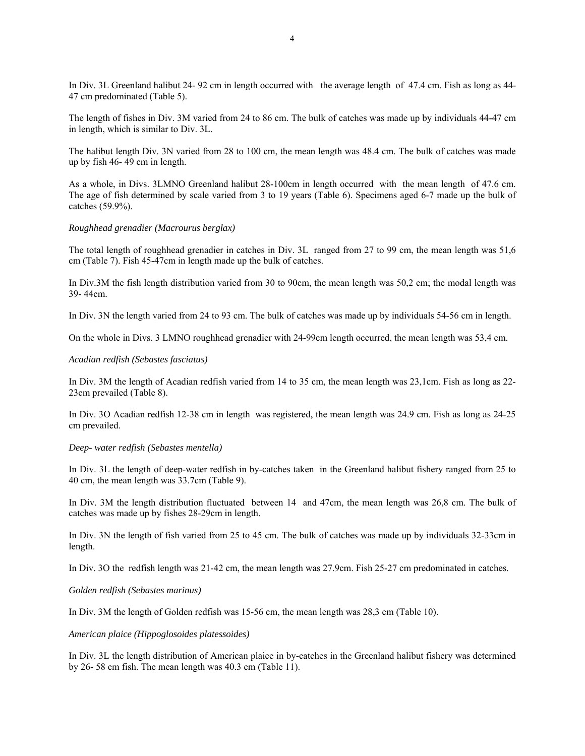In Div. 3L Greenland halibut 24- 92 cm in length occurred with the average length of 47.4 cm. Fish as long as 44- 47 cm predominated (Table 5).

The length of fishes in Div. 3M varied from 24 to 86 cm. The bulk of catches was made up by individuals 44-47 cm in length, which is similar to Div. 3L.

The halibut length Div. 3N varied from 28 to 100 cm, the mean length was 48.4 cm. The bulk of catches was made up by fish 46- 49 cm in length.

As a whole, in Divs. 3LMNO Greenland halibut 28-100cm in length occurred with the mean length of 47.6 cm. The age of fish determined by scale varied from 3 to 19 years (Table 6). Specimens aged 6-7 made up the bulk of catches (59.9%).

#### *Roughhead grenadier (Macrourus berglax)*

The total length of roughhead grenadier in catches in Div. 3L ranged from 27 to 99 cm, the mean length was 51,6 cm (Table 7). Fish 45-47cm in length made up the bulk of catches.

In Div.3M the fish length distribution varied from 30 to 90cm, the mean length was 50,2 cm; the modal length was 39- 44cm.

In Div. 3N the length varied from 24 to 93 cm. The bulk of catches was made up by individuals 54-56 cm in length.

On the whole in Divs. 3 LMNO roughhead grenadier with 24-99cm length occurred, the mean length was 53,4 cm.

#### *Acadian redfish (Sebastes fasciatus)*

In Div. 3M the length of Acadian redfish varied from 14 to 35 cm, the mean length was 23,1cm. Fish as long as 22- 23cm prevailed (Table 8).

In Div. 3O Acadian redfish 12-38 cm in length was registered, the mean length was 24.9 cm. Fish as long as 24-25 cm prevailed.

#### *Deep- water redfish (Sebastes mentella)*

In Div. 3L the length of deep-water redfish in by-catches taken in the Greenland halibut fishery ranged from 25 to 40 cm, the mean length was 33.7cm (Table 9).

In Div. 3M the length distribution fluctuated between 14 and 47cm, the mean length was 26,8 cm. The bulk of catches was made up by fishes 28-29cm in length.

In Div. 3N the length of fish varied from 25 to 45 cm. The bulk of catches was made up by individuals 32-33cm in length.

In Div. 3O the redfish length was 21-42 cm, the mean length was 27.9cm. Fish 25-27 cm predominated in catches.

## *Golden redfish (Sebastes marinus)*

In Div. 3M the length of Golden redfish was 15-56 cm, the mean length was 28,3 cm (Table 10).

#### *American plaice (Hippoglosoides platessoides)*

In Div. 3L the length distribution of American plaice in by-catches in the Greenland halibut fishery was determined by 26- 58 cm fish. The mean length was 40.3 cm (Table 11).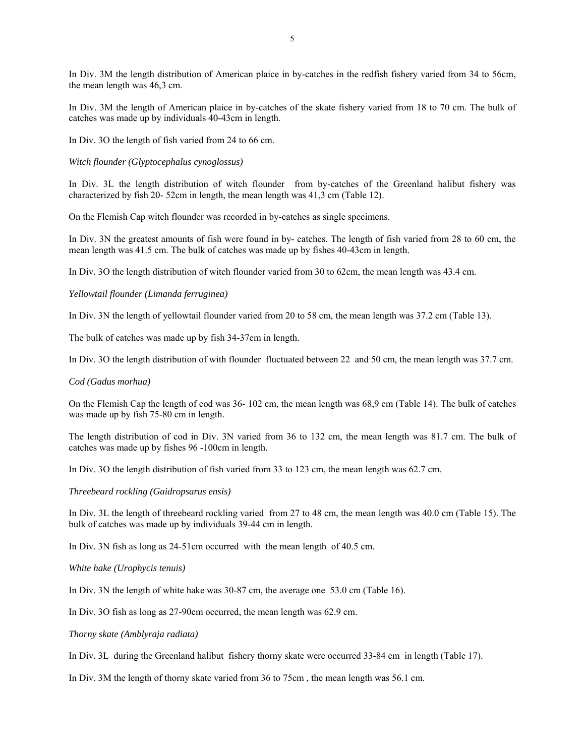In Div. 3M the length distribution of American plaice in by-catches in the redfish fishery varied from 34 to 56cm, the mean length was 46,3 cm.

In Div. 3M the length of American plaice in by-catches of the skate fishery varied from 18 to 70 cm. The bulk of catches was made up by individuals 40-43cm in length.

In Div. 3O the length of fish varied from 24 to 66 cm.

## *Witch flounder (Glyptocephalus cynoglossus)*

In Div. 3L the length distribution of witch flounder from by-catches of the Greenland halibut fishery was characterized by fish 20- 52cm in length, the mean length was 41,3 cm (Table 12).

On the Flemish Cap witch flounder was recorded in by-catches as single specimens.

In Div. 3N the greatest amounts of fish were found in by- catches. The length of fish varied from 28 to 60 cm, the mean length was 41.5 cm. The bulk of catches was made up by fishes 40-43cm in length.

In Div. 3O the length distribution of witch flounder varied from 30 to 62cm, the mean length was 43.4 cm.

#### *Yellowtail flounder (Limanda ferruginea)*

In Div. 3N the length of yellowtail flounder varied from 20 to 58 cm, the mean length was 37.2 cm (Table 13).

The bulk of catches was made up by fish 34-37cm in length.

In Div. 3O the length distribution of with flounder fluctuated between 22 and 50 cm, the mean length was 37.7 cm.

#### *Cod (Gadus morhua)*

On the Flemish Cap the length of cod was 36- 102 cm, the mean length was 68,9 cm (Table 14). The bulk of catches was made up by fish 75-80 cm in length.

The length distribution of cod in Div. 3N varied from 36 to 132 cm, the mean length was 81.7 cm. The bulk of catches was made up by fishes 96 -100cm in length.

In Div. 3O the length distribution of fish varied from 33 to 123 cm, the mean length was 62.7 cm.

*Threebeard rockling (Gaidropsarus ensis)* 

In Div. 3L the length of threebeard rockling varied from 27 to 48 cm, the mean length was 40.0 cm (Table 15). The bulk of catches was made up by individuals 39-44 cm in length.

In Div. 3N fish as long as 24-51cm occurred with the mean length of 40.5 cm.

*White hake (Urophycis tenuis)* 

In Div. 3N the length of white hake was 30-87 cm, the average one 53.0 cm (Table 16).

In Div. 3O fish as long as 27-90cm occurred, the mean length was 62.9 cm.

*Thorny skate (Amblyraja radiata)* 

In Div. 3L during the Greenland halibut fishery thorny skate were occurred 33-84 cm in length (Table 17).

In Div. 3M the length of thorny skate varied from 36 to 75cm , the mean length was 56.1 cm.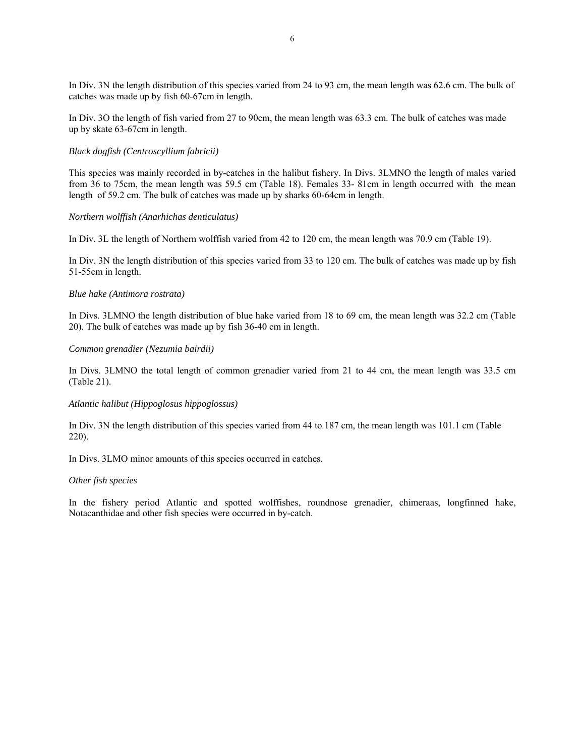In Div. 3N the length distribution of this species varied from 24 to 93 cm, the mean length was 62.6 cm. The bulk of catches was made up by fish 60-67cm in length.

In Div. 3O the length of fish varied from 27 to 90cm, the mean length was 63.3 cm. The bulk of catches was made up by skate 63-67cm in length.

## *Black dogfish (Centroscyllium fabricii)*

This species was mainly recorded in by-catches in the halibut fishery. In Divs. 3LMNO the length of males varied from 36 to 75cm, the mean length was 59.5 cm (Table 18). Females 33- 81cm in length occurred with the mean length of 59.2 cm. The bulk of catches was made up by sharks 60-64cm in length.

## *Northern wolffish (Anarhichas denticulatus)*

In Div. 3L the length of Northern wolffish varied from 42 to 120 cm, the mean length was 70.9 cm (Table 19).

In Div. 3N the length distribution of this species varied from 33 to 120 cm. The bulk of catches was made up by fish 51-55cm in length.

## *Blue hake (Antimora rostrata)*

In Divs. 3LMNO the length distribution of blue hake varied from 18 to 69 cm, the mean length was 32.2 cm (Table 20). The bulk of catches was made up by fish 36-40 cm in length.

## *Common grenadier (Nezumia bairdii)*

In Divs. 3LMNO the total length of common grenadier varied from 21 to 44 cm, the mean length was 33.5 cm (Table 21).

## *Atlantic halibut (Hippoglosus hippoglossus)*

In Div. 3N the length distribution of this species varied from 44 to 187 cm, the mean length was 101.1 cm (Table 220).

In Divs. 3LMO minor amounts of this species occurred in catches.

## *Other fish species*

In the fishery period Atlantic and spotted wolffishes, roundnose grenadier, chimeraas, longfinned hake, Notacanthidae and other fish species were occurred in by-catch.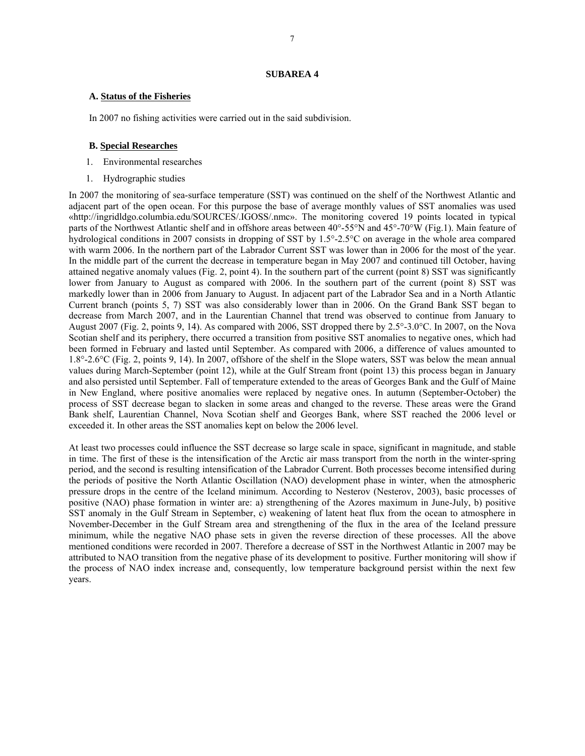## **SUBAREA 4**

### **A. Status of the Fisheries**

In 2007 no fishing activities were carried out in the said subdivision.

### **B. Special Researches**

- 1. Environmental researches
- 1. Hydrographic studies

In 2007 the monitoring of sea-surface temperature (SST) was continued on the shelf of the Northwest Atlantic and adjacent part of the open ocean. For this purpose the base of average monthly values of SST anomalies was used «http://ingridldgo.columbia.edu/SOURCES/.IGOSS/.nmc». The monitoring covered 19 points located in typical parts of the Northwest Atlantic shelf and in offshore areas between 40°-55°N and 45°-70°W (Fig.1). Main feature of hydrological conditions in 2007 consists in dropping of SST by 1.5°-2.5°C on average in the whole area compared with warm 2006. In the northern part of the Labrador Current SST was lower than in 2006 for the most of the year. In the middle part of the current the decrease in temperature began in May 2007 and continued till October, having attained negative anomaly values (Fig. 2, point 4). In the southern part of the current (point 8) SST was significantly lower from January to August as compared with 2006. In the southern part of the current (point 8) SST was markedly lower than in 2006 from January to August. In adjacent part of the Labrador Sea and in a North Atlantic Current branch (points 5, 7) SST was also considerably lower than in 2006. On the Grand Bank SST began to decrease from March 2007, and in the Laurentian Channel that trend was observed to continue from January to August 2007 (Fig. 2, points 9, 14). As compared with 2006, SST dropped there by 2.5°-3.0°C. In 2007, on the Nova Scotian shelf and its periphery, there occurred a transition from positive SST anomalies to negative ones, which had been formed in February and lasted until September. As compared with 2006, a difference of values amounted to 1.8°-2.6°C (Fig. 2, points 9, 14). In 2007, offshore of the shelf in the Slope waters, SST was below the mean annual values during March-September (point 12), while at the Gulf Stream front (point 13) this process began in January and also persisted until September. Fall of temperature extended to the areas of Georges Bank and the Gulf of Maine in New England, where positive anomalies were replaced by negative ones. In autumn (September-October) the process of SST decrease began to slacken in some areas and changed to the reverse. These areas were the Grand Bank shelf, Laurentian Channel, Nova Scotian shelf and Georges Bank, where SST reached the 2006 level or exceeded it. In other areas the SST anomalies kept on below the 2006 level.

At least two processes could influence the SST decrease so large scale in space, significant in magnitude, and stable in time. The first of these is the intensification of the Arctic air mass transport from the north in the winter-spring period, and the second is resulting intensification of the Labrador Current. Both processes become intensified during the periods of positive the North Atlantic Oscillation (NAO) development phase in winter, when the atmospheric pressure drops in the centre of the Iceland minimum. According to Nesterov (Nesterov, 2003), basic processes of positive (NAO) phase formation in winter are: a) strengthening of the Azores maximum in June-July, b) positive SST anomaly in the Gulf Stream in September, c) weakening of latent heat flux from the ocean to atmosphere in November-December in the Gulf Stream area and strengthening of the flux in the area of the Iceland pressure minimum, while the negative NAO phase sets in given the reverse direction of these processes. All the above mentioned conditions were recorded in 2007. Therefore a decrease of SST in the Northwest Atlantic in 2007 may be attributed to NAO transition from the negative phase of its development to positive. Further monitoring will show if the process of NAO index increase and, consequently, low temperature background persist within the next few years.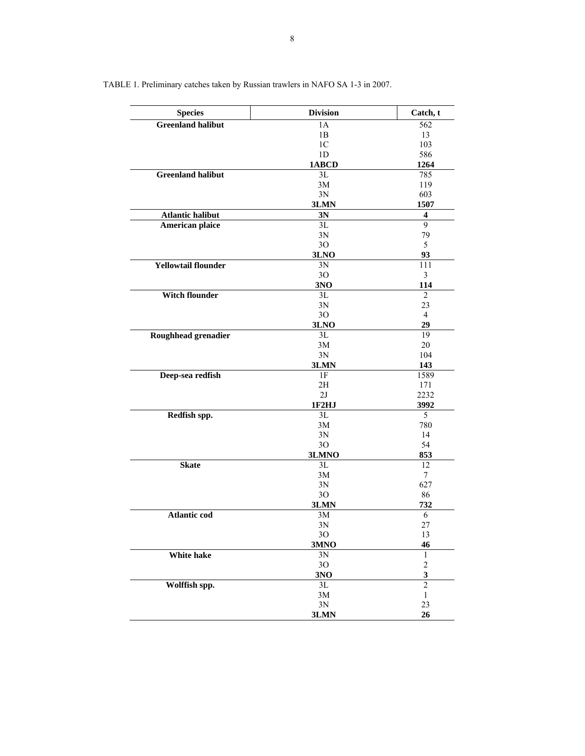| <b>Species</b>             | <b>Division</b> | Catch, t                |
|----------------------------|-----------------|-------------------------|
| <b>Greenland halibut</b>   | 1A              | $\overline{562}$        |
|                            | 1B              | 13                      |
|                            | 1 <sub>C</sub>  | 103                     |
|                            | 1 <sub>D</sub>  | 586                     |
|                            | 1ABCD           | 1264                    |
| <b>Greenland halibut</b>   | 3L              | 785                     |
|                            | 3M              | 119                     |
|                            | 3N              | 603                     |
|                            | 3LMN            | 1507                    |
| <b>Atlantic halibut</b>    | 3N              | 4                       |
| American plaice            | 3L              | 9                       |
|                            | 3N              | 79                      |
|                            | 30              | 5                       |
|                            | 3LNO            | 93                      |
| <b>Yellowtail flounder</b> | 3N              | 111                     |
|                            | 30 <sup>°</sup> | 3                       |
|                            | 3NO             | 114                     |
| <b>Witch flounder</b>      | 3L              | 2                       |
|                            | 3N              | 23<br>$\overline{4}$    |
|                            | 3O              | 29                      |
|                            | 3LNO            | 19                      |
| Roughhead grenadier        | 3L<br>3M        | 20                      |
|                            | 3N              | 104                     |
|                            | 3LMN            | 143                     |
| Deep-sea redfish           | 1F              | 1589                    |
|                            | 2H              | 171                     |
|                            | 2J              | 2232                    |
|                            | 1F2HJ           | 3992                    |
| Redfish spp.               | 3L              | 5                       |
|                            | 3M              | 780                     |
|                            | 3N              | 14                      |
|                            | 3O              | 54                      |
|                            | 3LMNO           | 853                     |
| <b>Skate</b>               | 3L              | 12                      |
|                            | 3M              | $\tau$                  |
|                            | 3N              | 627                     |
|                            | 30              | 86                      |
|                            | 3LMN            | 732                     |
| <b>Atlantic cod</b>        | 3M              | 6                       |
|                            | 3N              | 27                      |
|                            | 3O              | 13                      |
|                            | 3MNO            | 46                      |
| White hake                 | 3N              | $\mathbf{1}$            |
|                            | 3O              | $\overline{\mathbf{c}}$ |
|                            | 3N <sub>0</sub> | $\overline{\mathbf{3}}$ |
| Wolffish spp.              | 3L              | $\overline{2}$          |
|                            | $3\mathrm{M}$   | $\,1$                   |
|                            | $3N$            | 23                      |
|                            | 3LMN            | 26                      |

TABLE 1. Preliminary catches taken by Russian trawlers in NAFO SA 1-3 in 2007.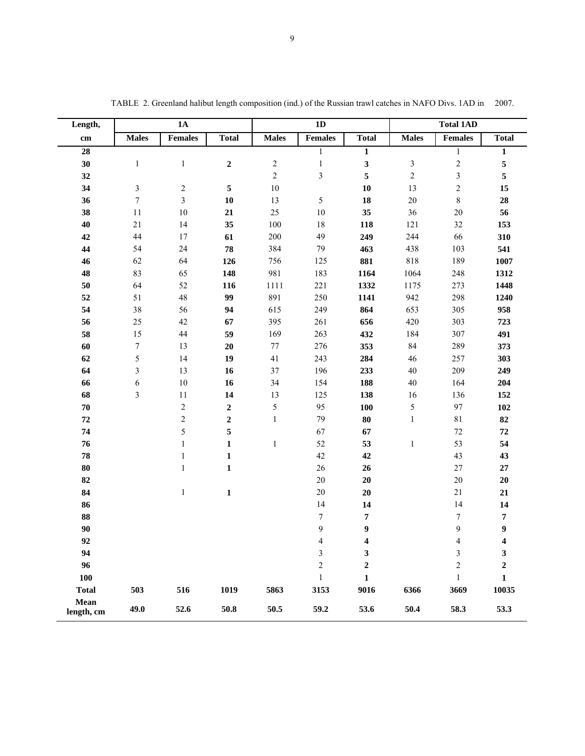| Length,            | 1A               |                |              |              | 1D             |                         |                  | <b>Total 1AD</b> |                  |  |
|--------------------|------------------|----------------|--------------|--------------|----------------|-------------------------|------------------|------------------|------------------|--|
| cm                 | <b>Males</b>     | <b>Females</b> | <b>Total</b> | <b>Males</b> | <b>Females</b> | <b>Total</b>            | <b>Males</b>     | <b>Females</b>   | <b>Total</b>     |  |
| 28                 |                  |                |              |              | $\mathbf{1}$   | $\mathbf{1}$            |                  | $\mathbf{1}$     | $\mathbf{1}$     |  |
| 30                 | $\mathbf{1}$     | $\,1$          | $\mathbf 2$  | $\sqrt{2}$   | $\mathbf{1}$   | $\mathbf{3}$            | $\mathfrak{Z}$   | $\mathbf{2}$     | 5                |  |
| 32                 |                  |                |              | $\sqrt{2}$   | $\mathfrak{Z}$ | 5                       | $\boldsymbol{2}$ | $\mathfrak{Z}$   | 5                |  |
| 34                 | $\mathfrak{Z}$   | $\sqrt{2}$     | $\sqrt{5}$   | $10\,$       |                | 10                      | 13               | $\overline{c}$   | 15               |  |
| 36                 | $\boldsymbol{7}$ | $\mathfrak{Z}$ | 10           | 13           | 5              | 18                      | $20\,$           | $\,$ $\,$        | 28               |  |
| 38                 | 11               | 10             | 21           | 25           | $10\,$         | 35                      | 36               | $20\,$           | 56               |  |
| 40                 | $21\,$           | 14             | 35           | 100          | $18\,$         | 118                     | 121              | $32\,$           | 153              |  |
| 42                 | $44\,$           | 17             | 61           | 200          | 49             | 249                     | 244              | 66               | 310              |  |
| 44                 | 54               | 24             | 78           | 384          | 79             | 463                     | 438              | 103              | 541              |  |
| 46                 | 62               | 64             | 126          | 756          | 125            | 881                     | 818              | 189              | 1007             |  |
| 48                 | 83               | 65             | 148          | 981          | 183            | 1164                    | 1064             | 248              | 1312             |  |
| 50                 | 64               | 52             | 116          | 1111         | 221            | 1332                    | 1175             | 273              | 1448             |  |
| 52                 | 51               | 48             | 99           | 891          | 250            | 1141                    | 942              | 298              | 1240             |  |
| 54                 | $38\,$           | 56             | 94           | 615          | 249            | 864                     | 653              | 305              | 958              |  |
| 56                 | 25               | 42             | 67           | 395          | 261            | 656                     | 420              | 303              | 723              |  |
| 58                 | 15               | 44             | 59           | 169          | 263            | 432                     | 184              | 307              | 491              |  |
| 60                 | $\boldsymbol{7}$ | 13             | 20           | $77\,$       | 276            | 353                     | 84               | 289              | 373              |  |
| 62                 | 5                | 14             | 19           | 41           | 243            | 284                     | 46               | 257              | 303              |  |
| 64                 | 3                | 13             | 16           | 37           | 196            | 233                     | 40               | 209              | 249              |  |
| 66                 | 6                | 10             | 16           | 34           | 154            | 188                     | $40\,$           | 164              | 204              |  |
| 68                 | 3                | 11             | 14           | 13           | 125            | 138                     | 16               | 136              | 152              |  |
| 70                 |                  | $\sqrt{2}$     | $\mathbf 2$  | $\sqrt{5}$   | 95             | 100                     | 5                | 97               | 102              |  |
| ${\bf 72}$         |                  | $\sqrt{2}$     | $\mathbf 2$  | $\mathbf{1}$ | 79             | 80                      | $\mathbf{1}$     | $8\sqrt{1}$      | 82               |  |
| 74                 |                  | 5              | 5            |              | 67             | 67                      |                  | $72\,$           | ${\bf 72}$       |  |
| 76                 |                  | $\mathbf{1}$   | $\mathbf{1}$ | $\mathbf{1}$ | 52             | 53                      | $\,1\,$          | 53               | 54               |  |
| ${\bf 78}$         |                  | $\mathbf{1}$   | $\mathbf{1}$ |              | 42             | 42                      |                  | 43               | 43               |  |
| ${\bf 80}$         |                  | $\mathbf{1}$   | $\mathbf 1$  |              | $26\,$         | 26                      |                  | $27\,$           | 27               |  |
| 82                 |                  |                |              |              | $20\,$         | $20\,$                  |                  | $20\,$           | 20               |  |
| 84                 |                  | $\,1\,$        | $\mathbf{1}$ |              | 20             | 20                      |                  | 21               | 21               |  |
| 86                 |                  |                |              |              | 14             | 14                      |                  | 14               | 14               |  |
| 88                 |                  |                |              |              | $\sqrt{ }$     | 7                       |                  | $\boldsymbol{7}$ | $\pmb{7}$        |  |
| 90                 |                  |                |              |              | 9              | 9                       |                  | 9                | 9                |  |
| 92                 |                  |                |              |              | $\overline{4}$ | $\overline{\mathbf{4}}$ |                  | $\overline{4}$   | 4                |  |
| 94                 |                  |                |              |              | $\mathfrak{Z}$ | 3                       |                  | 3                | $\mathbf{3}$     |  |
| 96                 |                  |                |              |              | $\overline{c}$ | $\boldsymbol{2}$        |                  | $\overline{2}$   | $\boldsymbol{2}$ |  |
| 100                |                  |                |              |              | $\mathbf{1}$   | $\mathbf{1}$            |                  | 1                | $\mathbf{1}$     |  |
| <b>Total</b>       | 503              | 516            | 1019         | 5863         | 3153           | 9016                    | 6366             | 3669             | 10035            |  |
| Mean<br>length, cm | 49.0             | 52.6           | 50.8         | 50.5         | 59.2           | 53.6                    | 50.4             | 58.3             | 53.3             |  |

TABLE 2. Greenland halibut length composition (ind.) of the Russian trawl catches in NAFO Divs. 1AD in 2007.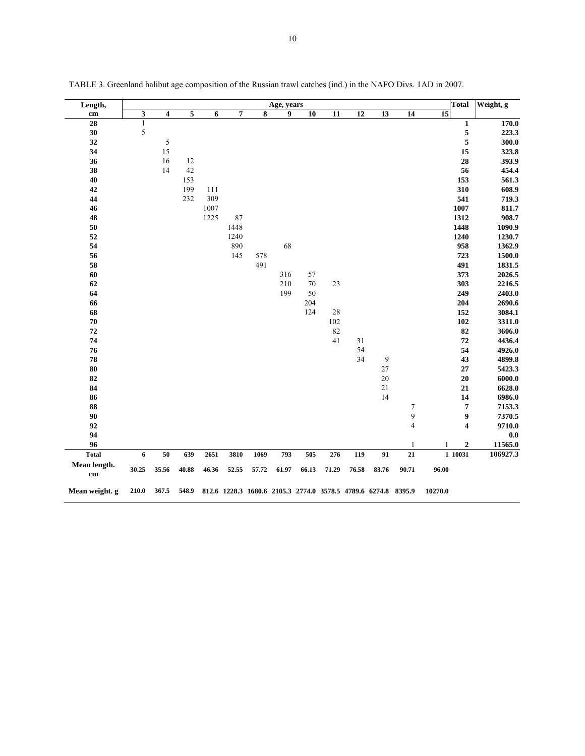| Length,                       |              |                         |        |       |                |       | Age, years |        |        |                                                               |        |                | <b>Total</b>    |                  | Weight, g |
|-------------------------------|--------------|-------------------------|--------|-------|----------------|-------|------------|--------|--------|---------------------------------------------------------------|--------|----------------|-----------------|------------------|-----------|
| cm                            | 3            | $\overline{\mathbf{4}}$ | 5      | 6     | $\overline{7}$ | 8     | 9          | 10     | 11     | $\overline{12}$                                               | 13     | 14             | $\overline{15}$ |                  |           |
| 28                            | $\mathbf{1}$ |                         |        |       |                |       |            |        |        |                                                               |        |                |                 | $\mathbf 1$      | 170.0     |
| 30                            | $\sqrt{5}$   |                         |        |       |                |       |            |        |        |                                                               |        |                |                 | 5                | 223.3     |
| 32                            |              | 5                       |        |       |                |       |            |        |        |                                                               |        |                |                 | 5                | 300.0     |
| 34                            |              | 15                      |        |       |                |       |            |        |        |                                                               |        |                |                 | 15               | 323.8     |
| 36                            |              | 16                      | 12     |       |                |       |            |        |        |                                                               |        |                |                 | 28               | 393.9     |
| 38                            |              | 14                      | $42\,$ |       |                |       |            |        |        |                                                               |        |                |                 | 56               | 454.4     |
| 40                            |              |                         | 153    |       |                |       |            |        |        |                                                               |        |                |                 | 153              | 561.3     |
| 42                            |              |                         | 199    | 111   |                |       |            |        |        |                                                               |        |                |                 | 310              | 608.9     |
| 44                            |              |                         | 232    | 309   |                |       |            |        |        |                                                               |        |                |                 | 541              | 719.3     |
| 46                            |              |                         |        | 1007  |                |       |            |        |        |                                                               |        |                | 1007            |                  | 811.7     |
| 48                            |              |                         |        | 1225  | 87             |       |            |        |        |                                                               |        |                | 1312            |                  | 908.7     |
| 50                            |              |                         |        |       | 1448           |       |            |        |        |                                                               |        |                | 1448            |                  | 1090.9    |
| 52                            |              |                         |        |       | 1240           |       |            |        |        |                                                               |        |                | 1240            |                  | 1230.7    |
| 54                            |              |                         |        |       | 890            |       | 68         |        |        |                                                               |        |                |                 | 958              | 1362.9    |
| 56                            |              |                         |        |       | 145            | 578   |            |        |        |                                                               |        |                | 723             |                  | 1500.0    |
| 58                            |              |                         |        |       |                | 491   |            |        |        |                                                               |        |                |                 | 491              | 1831.5    |
| 60                            |              |                         |        |       |                |       | 316        | 57     |        |                                                               |        |                |                 | 373              | 2026.5    |
| 62                            |              |                         |        |       |                |       | 210        | $70\,$ | 23     |                                                               |        |                |                 | 303              | 2216.5    |
| 64                            |              |                         |        |       |                |       | 199        | $50\,$ |        |                                                               |        |                |                 | 249              | 2403.0    |
| 66                            |              |                         |        |       |                |       |            | 204    |        |                                                               |        |                |                 | 204              | 2690.6    |
| 68                            |              |                         |        |       |                |       |            | 124    | $28\,$ |                                                               |        |                | 152             |                  | 3084.1    |
| ${\bf 70}$                    |              |                         |        |       |                |       |            |        | 102    |                                                               |        |                |                 | 102              | 3311.0    |
| 72                            |              |                         |        |       |                |       |            |        | 82     |                                                               |        |                |                 | 82               | 3606.0    |
| 74                            |              |                         |        |       |                |       |            |        | 41     | 31                                                            |        |                |                 | 72               | 4436.4    |
| 76                            |              |                         |        |       |                |       |            |        |        | 54                                                            |        |                |                 | 54               | 4926.0    |
| 78                            |              |                         |        |       |                |       |            |        |        | 34                                                            | 9      |                |                 | 43               | 4899.8    |
| ${\bf 80}$                    |              |                         |        |       |                |       |            |        |        |                                                               | 27     |                |                 | $\bf 27$         | 5423.3    |
| 82                            |              |                         |        |       |                |       |            |        |        |                                                               | 20     |                |                 | 20               | 6000.0    |
| 84                            |              |                         |        |       |                |       |            |        |        |                                                               | $21\,$ |                |                 | 21               | 6628.0    |
| 86                            |              |                         |        |       |                |       |            |        |        |                                                               | 14     |                |                 | 14               | 6986.0    |
| 88                            |              |                         |        |       |                |       |            |        |        |                                                               |        | $\sqrt{ }$     |                 | $\overline{7}$   | 7153.3    |
| 90                            |              |                         |        |       |                |       |            |        |        |                                                               |        | 9              |                 | 9                | 7370.5    |
| 92                            |              |                         |        |       |                |       |            |        |        |                                                               |        | $\overline{4}$ |                 | 4                | 9710.0    |
| 94                            |              |                         |        |       |                |       |            |        |        |                                                               |        |                |                 |                  | 0.0       |
| 96                            |              |                         |        |       |                |       |            |        |        |                                                               |        | $\mathbf{1}$   | 1               | $\boldsymbol{2}$ | 11565.0   |
| <b>Total</b>                  | 6            | 50                      | 639    | 2651  | 3810           | 1069  | 793        | 505    | 276    | 119                                                           | 91     | ${\bf 21}$     | 1 10031         |                  | 106927.3  |
| Mean length.<br>$\mathbf{cm}$ | 30.25        | 35.56                   | 40.88  | 46.36 | 52.55          | 57.72 | 61.97      | 66.13  | 71.29  | 76.58                                                         | 83.76  | 90.71          | 96.00           |                  |           |
| Mean weight. g                | 210.0        | 367.5                   | 548.9  |       |                |       |            |        |        | 812.6 1228.3 1680.6 2105.3 2774.0 3578.5 4789.6 6274.8 8395.9 |        |                | 10270.0         |                  |           |

TABLE 3. Greenland halibut age composition of the Russian trawl catches (ind.) in the NAFO Divs. 1AD in 2007.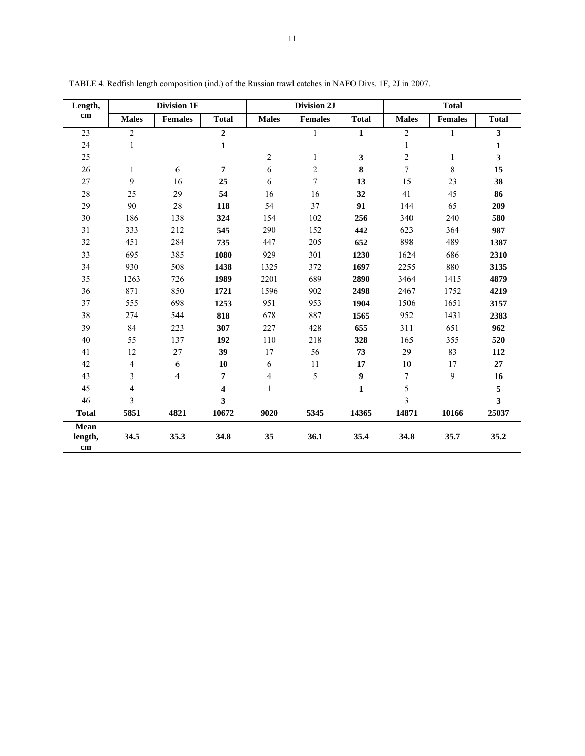| Length,               |                          | Division 1F    |              |                         | Division 2J    |                  |                | <b>Total</b>   |                         |
|-----------------------|--------------------------|----------------|--------------|-------------------------|----------------|------------------|----------------|----------------|-------------------------|
| cm                    | <b>Males</b>             | <b>Females</b> | <b>Total</b> | <b>Males</b>            | <b>Females</b> | <b>Total</b>     | <b>Males</b>   | <b>Females</b> | <b>Total</b>            |
| 23                    | $\overline{2}$           |                | $\mathbf{2}$ |                         | 1              | $\mathbf{1}$     | $\overline{c}$ | 1              | 3                       |
| 24                    | $\mathbf{1}$             |                | $\mathbf{1}$ |                         |                |                  | $\mathbf{1}$   |                | $\mathbf{1}$            |
| 25                    |                          |                |              | $\mathbf{2}$            | $\mathbf{1}$   | 3                | $\overline{c}$ | $\mathbf{1}$   | 3                       |
| 26                    | $\mathbf{1}$             | 6              | 7            | 6                       | $\overline{2}$ | 8                | $\overline{7}$ | $\,8\,$        | 15                      |
| 27                    | 9                        | 16             | 25           | 6                       | $\overline{7}$ | 13               | 15             | 23             | 38                      |
| 28                    | 25                       | 29             | 54           | 16                      | 16             | 32               | 41             | 45             | 86                      |
| 29                    | 90                       | $28\,$         | 118          | 54                      | 37             | 91               | 144            | 65             | 209                     |
| 30                    | 186                      | 138            | 324          | 154                     | 102            | 256              | 340            | 240            | 580                     |
| 31                    | 333                      | 212            | 545          | 290                     | 152            | 442              | 623            | 364            | 987                     |
| 32                    | 451                      | 284            | 735          | 447                     | 205            | 652              | 898            | 489            | 1387                    |
| 33                    | 695                      | 385            | 1080         | 929                     | 301            | 1230             | 1624           | 686            | 2310                    |
| 34                    | 930                      | 508            | 1438         | 1325                    | 372            | 1697             | 2255           | 880            | 3135                    |
| 35                    | 1263                     | 726            | 1989         | 2201                    | 689            | 2890             | 3464           | 1415           | 4879                    |
| 36                    | 871                      | 850            | 1721         | 1596                    | 902            | 2498             | 2467           | 1752           | 4219                    |
| 37                    | 555                      | 698            | 1253         | 951                     | 953            | 1904             | 1506           | 1651           | 3157                    |
| 38                    | 274                      | 544            | 818          | 678                     | 887            | 1565             | 952            | 1431           | 2383                    |
| 39                    | 84                       | 223            | 307          | 227                     | 428            | 655              | 311            | 651            | 962                     |
| 40                    | 55                       | 137            | 192          | 110                     | 218            | 328              | 165            | 355            | 520                     |
| 41                    | 12                       | 27             | 39           | 17                      | 56             | 73               | 29             | 83             | 112                     |
| 42                    | $\overline{\mathcal{L}}$ | 6              | 10           | 6                       | 11             | 17               | 10             | 17             | 27                      |
| 43                    | 3                        | $\overline{4}$ | 7            | $\overline{\mathbf{4}}$ | 5              | $\boldsymbol{9}$ | $\overline{7}$ | 9              | 16                      |
| 45                    | $\overline{\mathbf{4}}$  |                | 4            | $\mathbf{1}$            |                | $\mathbf{1}$     | 5              |                | 5                       |
| 46                    | 3                        |                | 3            |                         |                |                  | 3              |                | $\overline{\mathbf{3}}$ |
| <b>Total</b>          | 5851                     | 4821           | 10672        | 9020                    | 5345           | 14365            | 14871          | 10166          | 25037                   |
| Mean<br>length,<br>cm | 34.5                     | 35.3           | 34.8         | 35                      | 36.1           | 35.4             | 34.8           | 35.7           | 35.2                    |

TABLE 4. Redfish length composition (ind.) of the Russian trawl catches in NAFO Divs. 1F, 2J in 2007.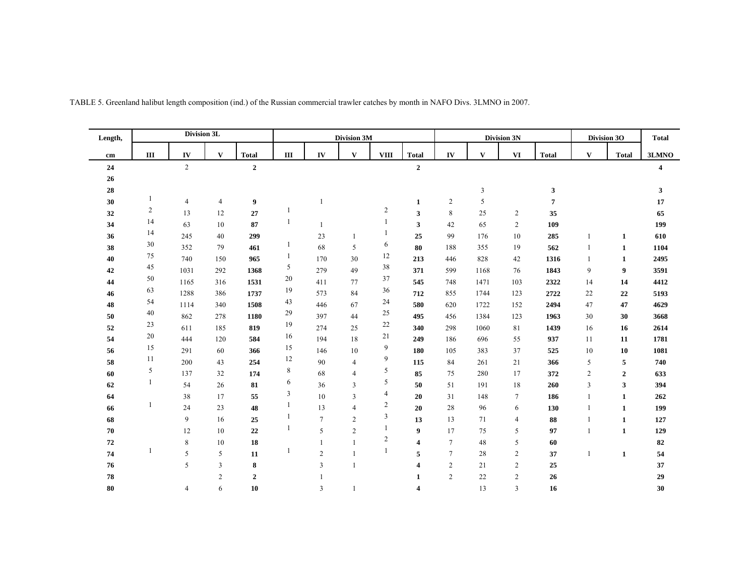| Length,         |                | Division 3L    |                |                |              |                | Division 3M             |                  |                     |                |              | Division 3N    |                |                | Division 3O      | <b>Total</b>   |
|-----------------|----------------|----------------|----------------|----------------|--------------|----------------|-------------------------|------------------|---------------------|----------------|--------------|----------------|----------------|----------------|------------------|----------------|
| cm              | $\rm III$      | ${\bf IV}$     | $\mathbf{V}$   | <b>Total</b>   | $\rm III$    | IV             | $\mathbf{V}$            | <b>VIII</b>      | <b>Total</b>        | ${\bf IV}$     | $\mathbf{V}$ | $\mathbf{VI}$  | <b>Total</b>   | $\mathbf{V}$   | <b>Total</b>     | 3LMNO          |
| ${\bf 24}$      |                | $\overline{2}$ |                | $\overline{2}$ |              |                |                         |                  | $\overline{2}$      |                |              |                |                |                |                  | $\overline{4}$ |
| $26\phantom{.}$ |                |                |                |                |              |                |                         |                  |                     |                |              |                |                |                |                  |                |
| 28              |                |                |                |                |              |                |                         |                  |                     |                | 3            |                | 3              |                |                  | 3              |
| 30              |                | $\overline{4}$ | $\overline{4}$ | 9              |              | 1              |                         |                  | $\mathbf{1}$        | 2              | 5            |                | $\overline{7}$ |                |                  | 17             |
| 32              | $\overline{c}$ | 13             | 12             | 27             | -1           |                |                         | $\boldsymbol{2}$ | 3                   | 8              | 25           | $\overline{c}$ | 35             |                |                  | 65             |
| 34              | 14             | 63             | 10             | 87             | 1            | 1              |                         |                  | 3                   | 42             | 65           | $\overline{c}$ | 109            |                |                  | 199            |
| 36              | 14             | 245            | 40             | 299            |              | 23             |                         |                  | 25                  | 99             | 176          | 10             | 285            |                | 1                | 610            |
| 38              | 30             | 352            | 79             | 461            | 1            | 68             | 5                       | 6                | 80                  | 188            | 355          | 19             | 562            |                | $\mathbf{1}$     | 1104           |
| 40              | 75             | 740            | 150            | 965            | $\mathbf{1}$ | 170            | 30                      | 12               | 213                 | 446            | 828          | 42             | 1316           | 1              | 1                | 2495           |
| 42              | 45             | 1031           | 292            | 1368           | 5            | 279            | 49                      | 38               | 371                 | 599            | 1168         | 76             | 1843           | 9              | $\boldsymbol{9}$ | 3591           |
| 44              | 50             | 1165           | 316            | 1531           | 20           | 411            | 77                      | 37               | 545                 | 748            | 1471         | 103            | 2322           | 14             | 14               | 4412           |
| 46              | 63             | 1288           | 386            | 1737           | 19           | 573            | 84                      | 36               | 712                 | 855            | 1744         | 123            | 2722           | 22             | 22               | 5193           |
| 48              | 54             | 1114           | 340            | 1508           | 43           | 446            | 67                      | 24               | 580                 | 620            | 1722         | 152            | 2494           | 47             | 47               | 4629           |
| 50              | 40             | 862            | 278            | 1180           | 29           | 397            | 44                      | 25               | 495                 | 456            | 1384         | 123            | 1963           | 30             | 30               | 3668           |
| 52              | 23             | 611            | 185            | 819            | 19           | 274            | 25                      | 22               | 340                 | 298            | 1060         | 81             | 1439           | 16             | 16               | 2614           |
| 54              | 20             | 444            | 120            | 584            | 16           | 194            | 18                      | 21               | 249                 | 186            | 696          | 55             | 937            | 11             | 11               | 1781           |
| 56              | 15             | 291            | 60             | 366            | 15           | 146            | 10                      | 9                | 180                 | 105            | 383          | 37             | 525            | 10             | 10               | 1081           |
| 58              | 11             | 200            | 43             | 254            | 12           | 90             | $\overline{4}$          | 9                | 115                 | 84             | 261          | 21             | 366            | 5              | 5                | 740            |
| 60              | 5              | 137            | 32             | 174            | $\,8\,$      | 68             | $\overline{4}$          | 5                | 85                  | 75             | 280          | 17             | 372            | $\overline{c}$ | $\boldsymbol{2}$ | 633            |
| 62              | 1              | 54             | 26             | 81             | 6            | 36             | $\overline{3}$          | 5                | 50                  | 51             | 191          | 18             | 260            | $\overline{3}$ | 3                | 394            |
| 64              |                | 38             | 17             | 55             | 3            | 10             | $\overline{\mathbf{3}}$ | $\overline{4}$   | 20                  | 31             | 148          | $\tau$         | 186            | -1             | 1                | 262            |
| 66              |                | 24             | 23             | 48             | $\mathbf{1}$ | 13             | $\overline{4}$          | $\overline{c}$   | 20                  | 28             | 96           | 6              | 130            |                | $\mathbf{1}$     | 199            |
| 68              |                | 9              | 16             | 25             | 1            | $\overline{7}$ | $\overline{2}$          | 3                | 13                  | 13             | 71           | $\overline{4}$ | 88             |                | $\mathbf{1}$     | 127            |
| 70              |                | 12             | 10             | 22             | 1            | 5              | $\overline{2}$          |                  | 9                   | 17             | 75           | 5              | 97             | $\overline{1}$ | $\mathbf{1}$     | 129            |
| 72              |                | 8              | 10             | 18             |              | 1              |                         | $\sqrt{2}$       | $\overline{\bf{4}}$ | $\tau$         | 48           | 5              | 60             |                |                  | 82             |
| 74              |                | 5              | 5              | 11             |              | $\overline{c}$ |                         |                  | 5                   | $\tau$         | 28           | $\overline{c}$ | 37             | $\mathbf{1}$   | $\mathbf{1}$     | 54             |
| 76              |                | 5              | $\overline{3}$ | 8              |              | $\overline{3}$ |                         |                  | 4                   | $\mathbf{2}$   | 21           | $\overline{c}$ | 25             |                |                  | 37             |
| 78              |                |                | $\overline{2}$ | $\mathbf{2}$   |              |                |                         |                  | $\mathbf{1}$        | $\overline{c}$ | 22           | $\overline{c}$ | 26             |                |                  | 29             |
| 80              |                | 4              | 6              | 10             |              | 3              |                         |                  | 4                   |                | 13           | $\overline{3}$ | 16             |                |                  | 30             |

TABLE 5. Greenland halibut length composition (ind.) of the Russian commercial trawler catches by month in NAFO Divs. 3LMNO in 2007.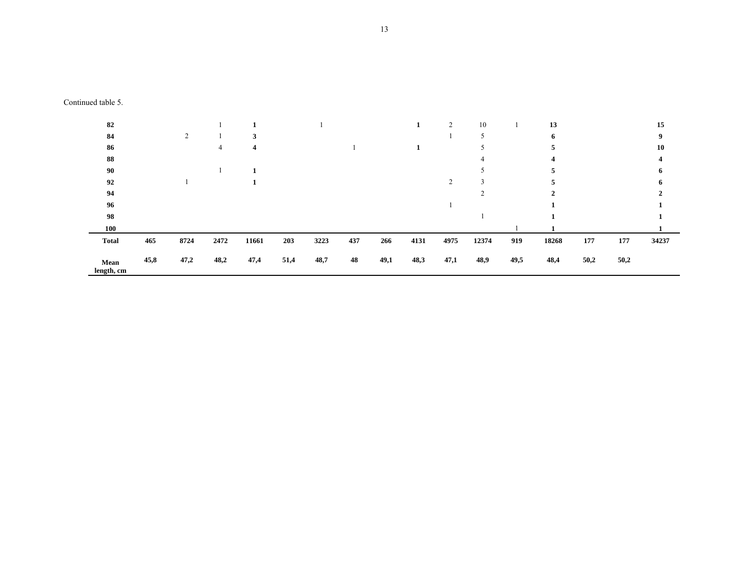| 82                 |      |      |      |       |      |      |     |      |      | $\overline{c}$ | 10    |      | 13    |      |      | 15    |
|--------------------|------|------|------|-------|------|------|-----|------|------|----------------|-------|------|-------|------|------|-------|
| 84                 |      | 2    |      |       |      |      |     |      |      |                |       |      | 6     |      |      | 9     |
| 86                 |      |      | 4    | 4     |      |      |     |      |      |                |       |      |       |      |      | 10    |
| 88                 |      |      |      |       |      |      |     |      |      |                |       |      |       |      |      |       |
| 90                 |      |      |      |       |      |      |     |      |      |                |       |      |       |      |      |       |
| 92                 |      |      |      |       |      |      |     |      |      | 2              |       |      |       |      |      |       |
| 94                 |      |      |      |       |      |      |     |      |      |                |       |      | ◠     |      |      |       |
| 96                 |      |      |      |       |      |      |     |      |      |                |       |      |       |      |      |       |
| 98                 |      |      |      |       |      |      |     |      |      |                |       |      |       |      |      |       |
| 100                |      |      |      |       |      |      |     |      |      |                |       |      |       |      |      |       |
| <b>Total</b>       | 465  | 8724 | 2472 | 11661 | 203  | 3223 | 437 | 266  | 4131 | 4975           | 12374 | 919  | 18268 | 177  | 177  | 34237 |
| Mean<br>length, cm | 45,8 | 47,2 | 48,2 | 47,4  | 51,4 | 48,7 | 48  | 49,1 | 48,3 | 47,1           | 48,9  | 49,5 | 48,4  | 50,2 | 50,2 |       |

Continued table 5.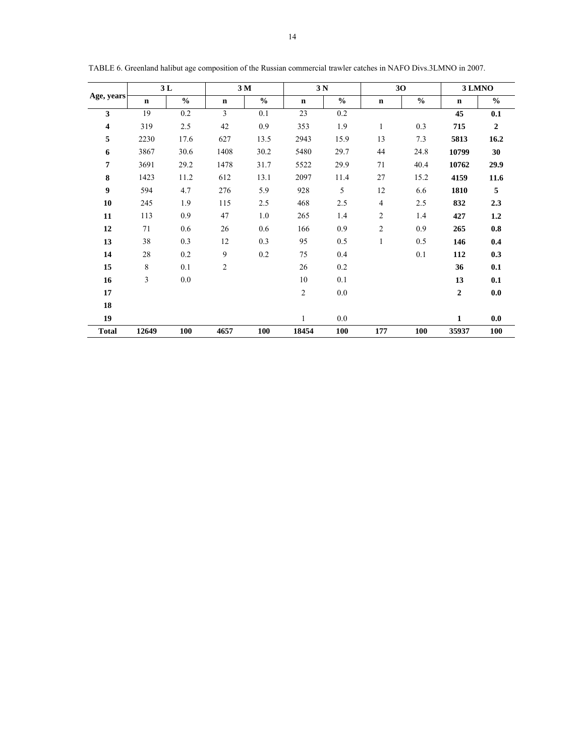| 3L           |                         |               |                         | 3 M           | 3N             |               |                | 30            | 3 LMNO           |                  |
|--------------|-------------------------|---------------|-------------------------|---------------|----------------|---------------|----------------|---------------|------------------|------------------|
| Age, years   | $\mathbf n$             | $\frac{0}{0}$ | $\mathbf n$             | $\frac{0}{0}$ | $\mathbf n$    | $\frac{6}{6}$ | $\mathbf n$    | $\frac{6}{6}$ | $\mathbf n$      | $\frac{0}{0}$    |
| 3            | 19                      | 0.2           | 3                       | 0.1           | 23             | $0.2\,$       |                |               | 45               | 0.1              |
| 4            | 319                     | 2.5           | 42                      | 0.9           | 353            | 1.9           | $\mathbf{1}$   | 0.3           | 715              | $\boldsymbol{2}$ |
| 5            | 2230                    | 17.6          | 627                     | 13.5          | 2943           | 15.9          | 13             | 7.3           | 5813             | 16.2             |
| 6            | 3867                    | 30.6          | 1408                    | 30.2          | 5480           | 29.7          | 44             | 24.8          | 10799            | 30               |
| 7            | 3691                    | 29.2          | 1478                    | 31.7          | 5522           | 29.9          | 71             | 40.4          | 10762            | 29.9             |
| 8            | 1423                    | 11.2          | 612                     | 13.1          | 2097           | 11.4          | $27\,$         | 15.2          | 4159             | 11.6             |
| 9            | 594                     | 4.7           | 276                     | 5.9           | 928            | 5             | 12             | 6.6           | 1810             | 5                |
| 10           | 245                     | 1.9           | 115                     | 2.5           | 468            | 2.5           | 4              | 2.5           | 832              | 2.3              |
| 11           | 113                     | 0.9           | 47                      | 1.0           | 265            | 1.4           | $\overline{c}$ | 1.4           | 427              | 1.2              |
| 12           | 71                      | 0.6           | 26                      | 0.6           | 166            | 0.9           | $\overline{c}$ | 0.9           | 265              | 0.8              |
| 13           | 38                      | 0.3           | 12                      | 0.3           | 95             | 0.5           | 1              | 0.5           | 146              | 0.4              |
| 14           | 28                      | 0.2           | 9                       | 0.2           | 75             | 0.4           |                | 0.1           | 112              | 0.3              |
| 15           | $\,8\,$                 | 0.1           | $\overline{\mathbf{c}}$ |               | 26             | 0.2           |                |               | 36               | 0.1              |
| 16           | $\overline{\mathbf{3}}$ | 0.0           |                         |               | 10             | 0.1           |                |               | 13               | 0.1              |
| 17           |                         |               |                         |               | $\overline{c}$ | 0.0           |                |               | $\boldsymbol{2}$ | 0.0              |
| 18           |                         |               |                         |               |                |               |                |               |                  |                  |
| 19           |                         |               |                         |               | $\mathbf{1}$   | 0.0           |                |               | $\mathbf{1}$     | 0.0              |
| <b>Total</b> | 12649                   | 100           | 4657                    | 100           | 18454          | 100           | 177            | 100           | 35937            | 100              |

TABLE 6. Greenland halibut age composition of the Russian commercial trawler catches in NAFO Divs.3LMNO in 2007.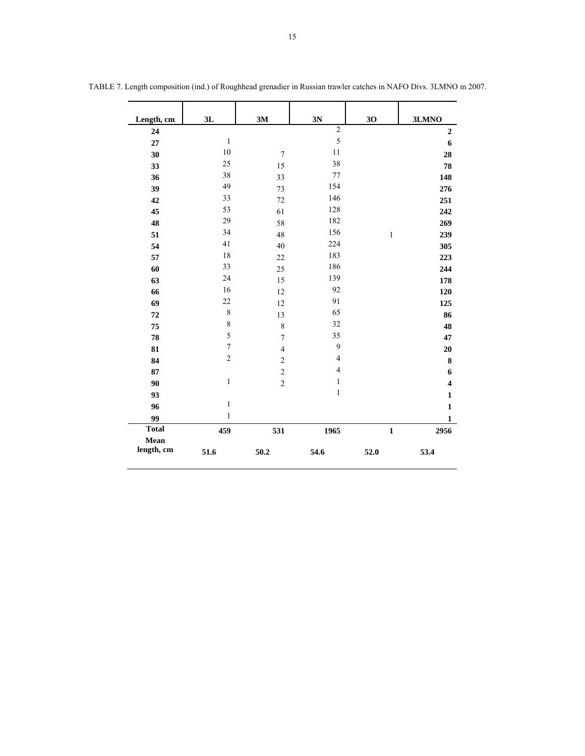| Length, cm         | 3L               | 3M                      | 3N             | 30           | 3LMNO                   |
|--------------------|------------------|-------------------------|----------------|--------------|-------------------------|
| 24                 |                  |                         | $\overline{2}$ |              | $\boldsymbol{2}$        |
| 27                 | $\,1\,$          |                         | 5              |              | 6                       |
| 30                 | $10\,$           | $\boldsymbol{7}$        | 11             |              | 28                      |
| 33                 | 25               | 15                      | 38             |              | 78                      |
| 36                 | 38               | 33                      | $77\,$         |              | 148                     |
| 39                 | 49               | 73                      | 154            |              | 276                     |
| 42                 | 33               | 72                      | 146            |              | 251                     |
| 45                 | 53               | 61                      | 128            |              | 242                     |
| 48                 | 29               | 58                      | 182            |              | 269                     |
| 51                 | 34               | 48                      | 156            | $\,1$        | 239                     |
| 54                 | 41               | 40                      | 224            |              | 305                     |
| 57                 | 18               | $22\,$                  | 183            |              | 223                     |
| 60                 | 33               | 25                      | 186            |              | 244                     |
| 63                 | 24               | 15                      | 139            |              | 178                     |
| 66                 | 16               | 12                      | 92             |              | 120                     |
| 69                 | 22               | 12                      | 91             |              | 125                     |
| 72                 | $\,8\,$          | 13                      | 65             |              | 86                      |
| 75                 | $\,$ 8 $\,$      | 8                       | 32             |              | 48                      |
| 78                 | 5                | $\boldsymbol{7}$        | 35             |              | 47                      |
| 81                 | $\boldsymbol{7}$ | $\overline{\mathbf{4}}$ | 9              |              | 20                      |
| 84                 | $\overline{2}$   | $\overline{c}$          | $\overline{4}$ |              | $\bf 8$                 |
| 87                 |                  | $\overline{c}$          | $\overline{4}$ |              | 6                       |
| 90                 | $\mathbf{1}$     | $\overline{c}$          | $\,1$          |              | $\overline{\mathbf{4}}$ |
| 93                 |                  |                         | $\,1$          |              | $\mathbf{1}$            |
| 96                 | $\mathbf{1}$     |                         |                |              | $\mathbf{1}$            |
| 99                 | $\mathbf{1}$     |                         |                |              | $\mathbf{1}$            |
| <b>Total</b>       | 459              | 531                     | 1965           | $\mathbf{1}$ | 2956                    |
| Mean<br>length, cm | 51.6             | ${\bf 50.2}$            | 54.6           | 52.0         | 53.4                    |

TABLE 7. Length composition (ind.) of Roughhead grenadier in Russian trawler catches in NAFO Divs. 3LMNO in 2007.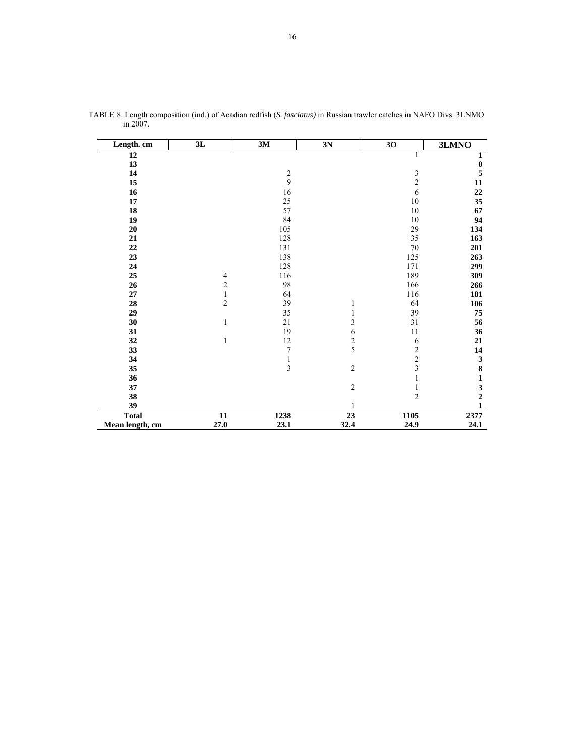| Length. cm      | 3L              | 3M             | 3N             | 30                      | 3LMNO            |
|-----------------|-----------------|----------------|----------------|-------------------------|------------------|
| 12              |                 |                |                | 1                       | $\mathbf{1}$     |
| 13              |                 |                |                |                         | $\boldsymbol{0}$ |
| 14              |                 | $\sqrt{2}$     |                | $\mathfrak{Z}$          | 5                |
| 15              |                 | 9              |                | $\overline{c}$          | 11               |
| 16              |                 | 16             |                | 6                       | $\bf{22}$        |
| ${\bf 17}$      |                 | 25             |                | $10\,$                  | 35               |
| ${\bf 18}$      |                 | 57             |                | $10\,$                  | 67               |
| 19              |                 | 84             |                | $10\,$                  | 94               |
| 20              |                 | 105            |                | 29                      | 134              |
| 21              |                 | 128            |                | 35                      | 163              |
| $22\,$          |                 | 131            |                | $70\,$                  | 201              |
| 23              |                 | 138            |                | 125                     | 263              |
| 24              |                 | 128            |                | 171                     | 299              |
| 25              | $\overline{4}$  | 116            |                | 189                     | 309              |
| 26              | $\sqrt{2}$      | 98             |                | 166                     | 266              |
| 27              | $\mathbf{1}$    | 64             |                | 116                     | 181              |
| 28              | $\overline{c}$  | 39             | 1              | 64                      | 106              |
| 29              |                 | 35             | 1              | 39                      | 75               |
| 30              | 1               | 21             | 3              | 31                      | 56               |
| 31              |                 | 19             | 6              | 11                      | 36               |
| 32              | $\mathbf{1}$    | $12\,$         | $\frac{2}{5}$  | 6                       | 21               |
| 33              |                 | $\sqrt{ }$     |                | $\overline{\mathbf{c}}$ | 14               |
| 34              |                 | $\mathbf{1}$   |                | $\overline{c}$          | $\mathbf{3}$     |
| 35              |                 | $\overline{3}$ | $\sqrt{2}$     | $\overline{\mathbf{3}}$ | 8                |
| 36              |                 |                |                | 1                       | $\mathbf{1}$     |
| 37              |                 |                | $\overline{c}$ | $\mathbf{1}$            | $\frac{3}{2}$    |
| 38              |                 |                |                | $\overline{2}$          |                  |
| 39              |                 |                | 1              |                         | $\mathbf{1}$     |
| <b>Total</b>    | $\overline{11}$ | 1238           | 23             | 1105                    | 2377             |
| Mean length, cm | 27.0            | 23.1           | 32.4           | 24.9                    | 24.1             |

TABLE 8. Length composition (ind.) of Acadian redfish (*S. fasciatus)* in Russian trawler catches in NAFO Divs. 3LNMO in 2007.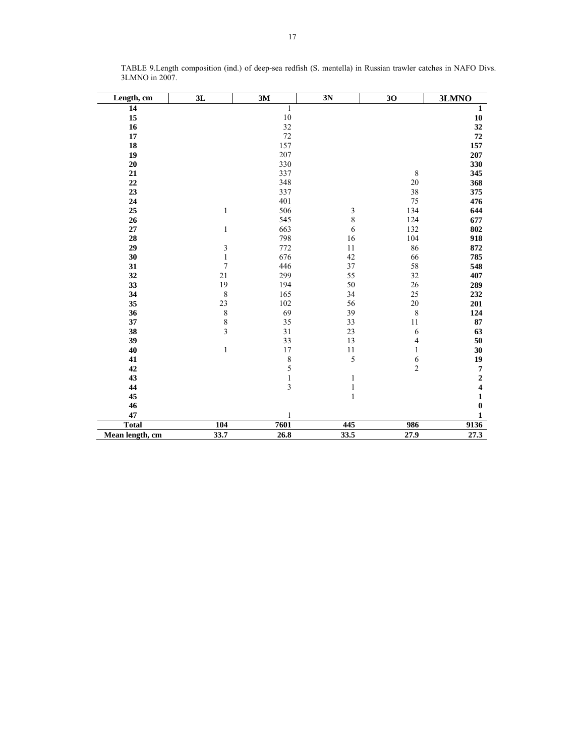| Length, cm      | 3L                      | 3M           | 3N             | 30             | 3LMNO                   |
|-----------------|-------------------------|--------------|----------------|----------------|-------------------------|
| 14              |                         | $\,1$        |                |                | $\mathbf 1$             |
| 15              |                         | $10\,$       |                |                | ${\bf 10}$              |
| 16              |                         | 32           |                |                | 32                      |
| $17\,$          |                         | 72           |                |                | 72                      |
| 18              |                         | 157          |                |                | 157                     |
| 19              |                         | 207          |                |                | 207                     |
| 20              |                         | 330          |                |                | 330                     |
| 21              |                         | 337          |                | $\,8\,$        | 345                     |
| 22              |                         | 348          |                | 20             | 368                     |
| 23              |                         | 337          |                | 38             | 375                     |
| 24              |                         | 401          |                | 75             | 476                     |
| 25              | $\mathbf{1}$            | 506          | 3              | 134            | 644                     |
| 26              |                         | 545          | $\overline{8}$ | 124            | 677                     |
| $27\,$          | $\mathbf{1}$            | 663          | 6              | 132            | 802                     |
| 28              |                         | 798          | 16             | 104            | 918                     |
| 29              | $\mathfrak{Z}$          | 772          | 11             | 86             | 872                     |
| 30              | $\,1$                   | 676          | 42             | 66             | 785                     |
| 31              | $\boldsymbol{7}$        | 446          | 37             | 58             | 548                     |
| 32              | 21                      | 299          | 55             | 32             | 407                     |
| 33              | 19                      | 194          | 50             | 26             | 289                     |
| 34              | $\,$ 8 $\,$             | 165          | 34             | 25             | 232                     |
| 35              | 23                      | 102          | 56             | $20\,$         | 201                     |
| 36              | $\,$ 8 $\,$             | 69           | 39             | $\,$ $\,$      | 124                     |
| 37              | $\,$ 8 $\,$             | 35           | 33             | 11             | 87                      |
| 38              | $\overline{\mathbf{3}}$ | 31           | 23             | 6              | 63                      |
| 39              |                         | 33           | 13             | $\overline{4}$ | 50                      |
| 40              | $\,1$                   | 17           | $1\,1$         | $\,1$          | 30                      |
| 41              |                         | 8            | 5              | $\frac{6}{2}$  | 19                      |
| 42              |                         | 5            |                |                | $\pmb{7}$               |
| 43              |                         | $\,1$        | 1              |                | $\overline{\mathbf{c}}$ |
| 44              |                         | 3            | $\mathbf{1}$   |                | $\overline{\mathbf{4}}$ |
| 45              |                         |              | $\mathbf{1}$   |                | $\mathbf{1}$            |
| 46              |                         |              |                |                | $\boldsymbol{0}$        |
| 47              |                         | $\mathbf{1}$ |                |                | $\mathbf{1}$            |
| <b>Total</b>    | 104                     | 7601         | 445            | 986            | 9136                    |
| Mean length, cm | 33.7                    | 26.8         | 33.5           | 27.9           | 27.3                    |

TABLE 9.Length composition (ind.) of deep-sea redfish (S. mentella) in Russian trawler catches in NAFO Divs. 3LMNO in 2007.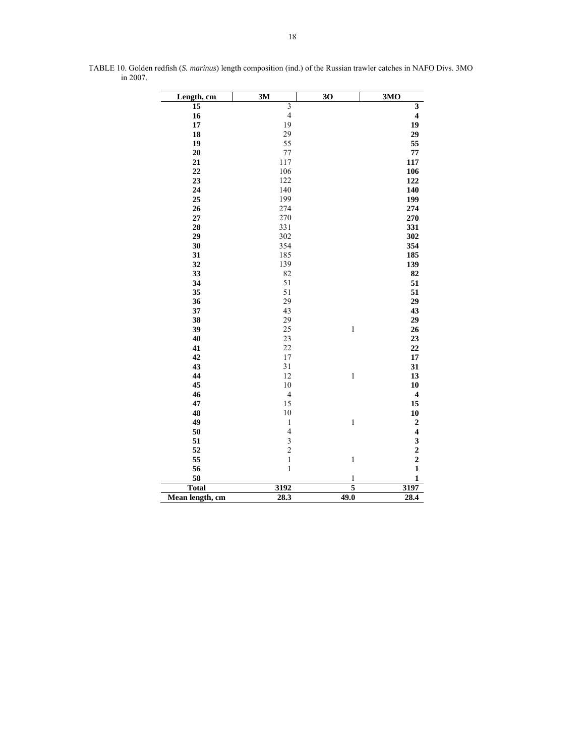| Length, cm      | 3M                      | $\overline{30}$ | 3MO                     |
|-----------------|-------------------------|-----------------|-------------------------|
| 15              | $\overline{\mathbf{3}}$ |                 | $\overline{\mathbf{3}}$ |
| 16              | $\overline{4}$          |                 | $\overline{\mathbf{4}}$ |
| 17              | 19                      |                 | 19                      |
| 18              | 29                      |                 | 29                      |
| 19              | 55                      |                 | 55                      |
| 20              | 77                      |                 | 77                      |
| 21              | 117                     |                 | 117                     |
| 22              | 106                     |                 | 106                     |
| 23              | 122                     |                 | 122                     |
| 24              | 140                     |                 | 140                     |
| 25              | 199                     |                 | 199                     |
| 26              | 274                     |                 | 274                     |
| 27              | 270                     |                 | 270                     |
| 28              | 331                     |                 | 331                     |
| 29              | 302                     |                 | 302                     |
| 30              | 354                     |                 | 354                     |
| 31              | 185                     |                 | 185                     |
| 32              | 139                     |                 | 139                     |
| 33              | 82                      |                 | 82                      |
| 34              | 51                      |                 | 51                      |
| 35              | 51                      |                 | 51                      |
| 36              | 29                      |                 | 29                      |
| 37              | 43                      |                 | 43                      |
| 38              | 29                      |                 | 29                      |
| 39              | 25                      | $\,1\,$         | 26                      |
| 40              | 23                      |                 | 23                      |
| 41              | 22                      |                 | 22                      |
| 42              | 17                      |                 | 17                      |
| 43              | 31                      |                 | 31                      |
| 44              | 12                      | $\,1\,$         | 13                      |
| 45              | 10                      |                 | 10                      |
| 46              | $\overline{\mathbf{4}}$ |                 | $\overline{\mathbf{4}}$ |
| 47              | 15                      |                 | 15                      |
| 48              | 10                      |                 | 10                      |
| 49              | $\mathbf{1}$            | $\mathbf 1$     |                         |
| 50              | $\overline{\mathbf{4}}$ |                 |                         |
| 51              | $\frac{3}{2}$           |                 | $24322$<br>$221$        |
| 52              |                         |                 |                         |
| 55              | $\,1$                   | $\mathbf 1$     |                         |
| 56              | $\mathbf{1}$            |                 |                         |
| 58              |                         | $\mathbf{1}$    | $\mathbf{1}$            |
| <b>Total</b>    | 3192                    | 5               | 3197                    |
| Mean length, cm | 28.3                    | 49.0            | 28.4                    |

TABLE 10. Golden redfish (*S. marinus*) length composition (ind.) of the Russian trawler catches in NAFO Divs. 3MO in 2007.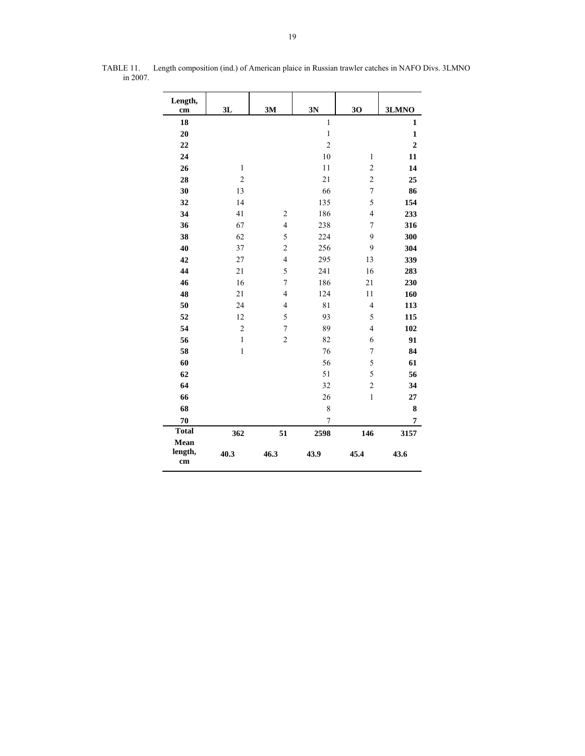| Length,                          |                |                |                |                  |                  |
|----------------------------------|----------------|----------------|----------------|------------------|------------------|
| cm                               | 3L             | 3M             | 3N             | 30               | 3LMNO            |
| 18                               |                |                | $\mathbf{1}$   |                  | 1                |
| 20                               |                |                | $\mathbf{1}$   |                  | $\mathbf{1}$     |
| 22                               |                |                | $\overline{2}$ |                  | $\boldsymbol{2}$ |
| 24                               |                |                | 10             | $\mathbf{1}$     | 11               |
| 26                               | $\mathbf{1}$   |                | 11             | $\overline{c}$   | 14               |
| 28                               | $\overline{c}$ |                | 21             | $\overline{c}$   | 25               |
| 30                               | 13             |                | 66             | $\tau$           | 86               |
| 32                               | 14             |                | 135            | 5                | 154              |
| 34                               | 41             | $\overline{2}$ | 186            | $\overline{4}$   | 233              |
| 36                               | 67             | $\overline{4}$ | 238            | $\overline{7}$   | 316              |
| 38                               | 62             | 5              | 224            | 9                | 300              |
| 40                               | 37             | $\overline{c}$ | 256            | 9                | 304              |
| 42                               | 27             | $\overline{4}$ | 295            | 13               | 339              |
| 44                               | 21             | 5              | 241            | 16               | 283              |
| 46                               | 16             | $\sqrt{ }$     | 186            | 21               | 230              |
| 48                               | 21             | $\overline{4}$ | 124            | 11               | 160              |
| 50                               | 24             | $\overline{4}$ | 81             | $\overline{4}$   | 113              |
| 52                               | 12             | 5              | 93             | 5                | 115              |
| 54                               | $\overline{c}$ | $\sqrt{ }$     | 89             | $\overline{4}$   | 102              |
| 56                               | $\mathbf{1}$   | $\overline{c}$ | 82             | 6                | 91               |
| 58                               | $\,1$          |                | 76             | 7                | 84               |
| 60                               |                |                | 56             | 5                | 61               |
| 62                               |                |                | 51             | 5                | 56               |
| 64                               |                |                | 32             | $\boldsymbol{2}$ | 34               |
| 66                               |                |                | 26             | $\mathbf{1}$     | 27               |
| 68                               |                |                | 8              |                  | 8                |
| 70                               |                |                | $\overline{7}$ |                  | $\overline{7}$   |
| <b>Total</b>                     | 362            | 51             | 2598           | 146              | 3157             |
| Mean<br>length,<br>$\mathbf{cm}$ | 40.3           | 46.3           | 43.9           | 45.4             | 43.6             |

 TABLE 11. Length composition (ind.) of American plaice in Russian trawler catches in NAFO Divs. 3LMNO in 2007.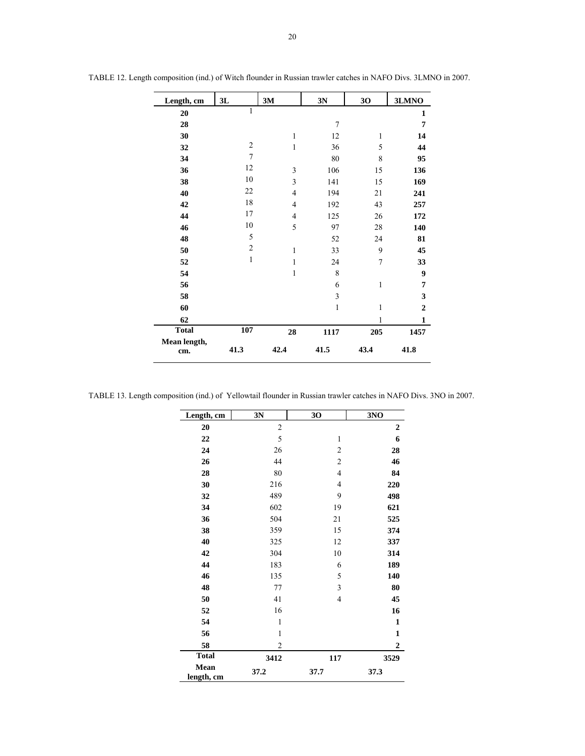| Length, cm          | 3L             | 3M             | 3N           | 30           | 3LMNO          |
|---------------------|----------------|----------------|--------------|--------------|----------------|
| 20                  | $\mathbf{1}$   |                |              |              | 1              |
| 28                  |                |                | 7            |              | 7              |
| 30                  |                | $\mathbf{1}$   | 12           | 1            | 14             |
| 32                  | $\mathfrak{2}$ | 1              | 36           | 5            | 44             |
| 34                  | $\tau$         |                | 80           | 8            | 95             |
| 36                  | 12             | 3              | 106          | 15           | 136            |
| 38                  | 10             | 3              | 141          | 15           | 169            |
| 40                  | 22             | $\overline{4}$ | 194          | 21           | 241            |
| 42                  | 18             | $\overline{4}$ | 192          | 43           | 257            |
| 44                  | 17             | $\overline{4}$ | 125          | 26           | 172            |
| 46                  | 10             | 5              | 97           | 28           | 140            |
| 48                  | 5              |                | 52           | 24           | 81             |
| 50                  | $\sqrt{2}$     | 1              | 33           | 9            | 45             |
| 52                  | $\mathbf{1}$   | 1              | 24           | 7            | 33             |
| 54                  |                | 1              | 8            |              | 9              |
| 56                  |                |                | 6            | $\mathbf{1}$ | 7              |
| 58                  |                |                | 3            |              | 3              |
| 60                  |                |                | $\mathbf{1}$ | 1            | $\overline{2}$ |
| 62                  |                |                |              | 1            | 1              |
| <b>Total</b>        | 107            | 28             | 1117         | 205          | 1457           |
| Mean length,<br>cm. | 41.3           | 42.4           | 41.5         | 43.4         | 41.8           |

TABLE 12. Length composition (ind.) of Witch flounder in Russian trawler catches in NAFO Divs. 3LMNO in 2007.

TABLE 13. Length composition (ind.) of Yellowtail flounder in Russian trawler catches in NAFO Divs. 3NO in 2007.

| Length, cm         | 3N             | 30                      | 3NO              |
|--------------------|----------------|-------------------------|------------------|
| 20                 | $\sqrt{2}$     |                         | $\boldsymbol{2}$ |
| 22                 | 5              | 1                       | 6                |
| 24                 | 26             | $\overline{\mathbf{c}}$ | 28               |
| 26                 | 44             | $\overline{\mathbf{c}}$ | 46               |
| 28                 | 80             | $\overline{4}$          | 84               |
| 30                 | 216            | $\overline{4}$          | 220              |
| 32                 | 489            | 9                       | 498              |
| 34                 | 602            | 19                      | 621              |
| 36                 | 504            | 21                      | 525              |
| 38                 | 359            | 15                      | 374              |
| 40                 | 325            | 12                      | 337              |
| 42                 | 304            | 10                      | 314              |
| 44                 | 183            | 6                       | 189              |
| 46                 | 135            | 5                       | 140              |
| 48                 | 77             | 3                       | 80               |
| 50                 | 41             | $\overline{4}$          | 45               |
| 52                 | 16             |                         | 16               |
| 54                 | $\mathbf{1}$   |                         | $\mathbf{1}$     |
| 56                 | $\mathbf{1}$   |                         | $\mathbf 1$      |
| 58                 | $\overline{2}$ |                         | $\boldsymbol{2}$ |
| <b>Total</b>       | 3412           | 117                     | 3529             |
| Mean<br>length, cm | 37.2           | 37.7                    | 37.3             |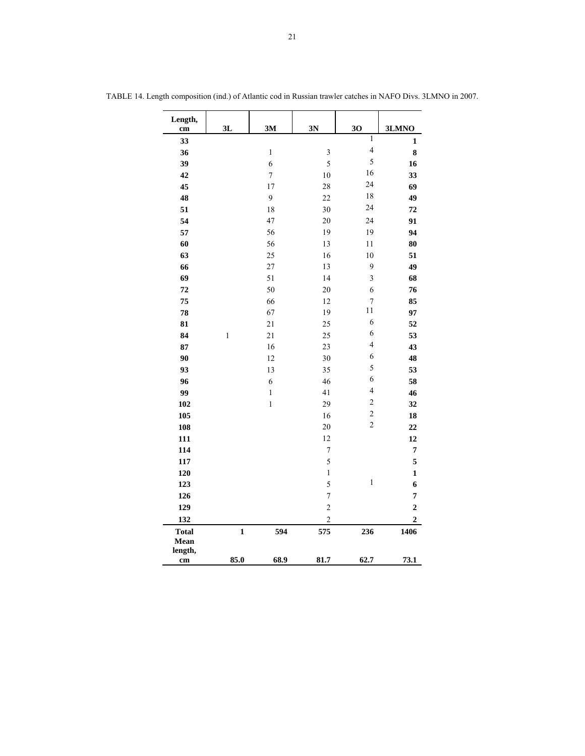| Length,<br>cm                   | 3L           | 3M               | 3N             | 30                       | 3LMNO          |
|---------------------------------|--------------|------------------|----------------|--------------------------|----------------|
| 33                              |              |                  |                | $\overline{1}$           | $\mathbf{1}$   |
| 36                              |              | $\,1$            | $\mathfrak{Z}$ | $\overline{\mathcal{L}}$ | 8              |
| 39                              |              | 6                | 5              | 5                        | 16             |
| 42                              |              | $\boldsymbol{7}$ | 10             | 16                       | 33             |
| 45                              |              | 17               | 28             | 24                       | 69             |
| 48                              |              | $\overline{9}$   | 22             | 18                       | 49             |
| 51                              |              | 18               | 30             | 24                       | 72             |
| 54                              |              | 47               | 20             | 24                       | 91             |
| 57                              |              | 56               | 19             | 19                       | 94             |
| 60                              |              | 56               | 13             | 11                       | 80             |
| 63                              |              | 25               | 16             | 10                       | 51             |
| 66                              |              | 27               | 13             | 9                        | 49             |
| 69                              |              | 51               | 14             | 3                        | 68             |
| 72                              |              | 50               | 20             | 6                        | 76             |
| 75                              |              | 66               | 12             | $\overline{7}$           | 85             |
| 78                              |              | 67               | 19             | 11                       | 97             |
| 81                              |              | 21               | 25             | 6                        | 52             |
| 84                              | $\mathbf{1}$ | 21               | 25             | 6                        | 53             |
| 87                              |              | 16               | 23             | $\overline{4}$           | 43             |
| 90                              |              | 12               | 30             | 6                        | 48             |
| 93                              |              | 13               | 35             | 5                        | 53             |
| 96                              |              | 6                | 46             | 6                        | 58             |
| 99                              |              | $\,1$            | 41             | $\overline{\mathcal{L}}$ | 46             |
| 102                             |              | $\mathbf{1}$     | 29             | $\overline{c}$           | 32             |
| 105                             |              |                  | 16             | $\overline{c}$           | 18             |
| 108                             |              |                  | 20             | $\overline{c}$           | 22             |
| 111                             |              |                  | 12             |                          | 12             |
| 114                             |              |                  | $\overline{7}$ |                          | 7              |
| 117                             |              |                  | 5              |                          | 5              |
| 120                             |              |                  | $\,1$          |                          | $\mathbf{1}$   |
| 123                             |              |                  | 5              | $\,1$                    | 6              |
| 126                             |              |                  | $\sqrt{ }$     |                          | 7              |
| 129                             |              |                  | $\overline{c}$ |                          | $\overline{2}$ |
| 132                             |              |                  | $\overline{c}$ |                          | $\overline{2}$ |
| <b>Total</b><br>Mean<br>length, | $\mathbf{1}$ | 594              | 575            | 236                      | 1406           |
| $\mathbf{cm}$                   | 85.0         | 68.9             | 81.7           | 62.7                     | 73.1           |

TABLE 14. Length composition (ind.) of Atlantic cod in Russian trawler catches in NAFO Divs. 3LMNO in 2007.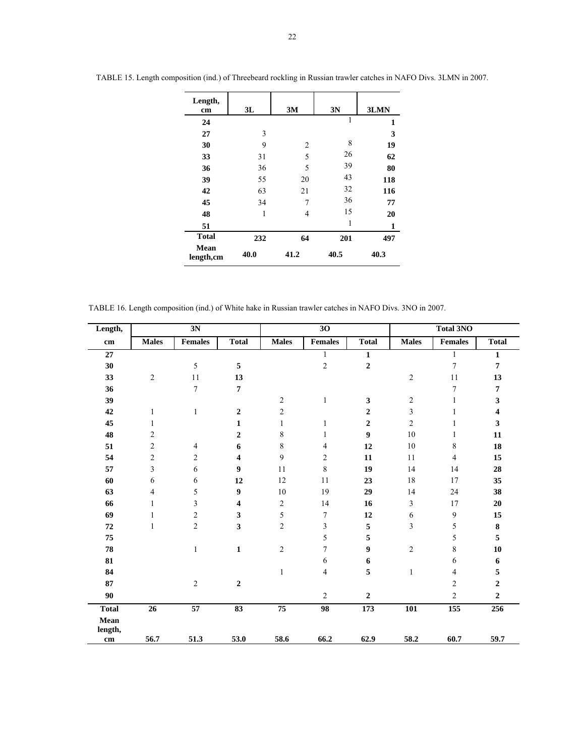| Length,<br>cm      | 3L   | 3M   | 3N   | 3LMN |
|--------------------|------|------|------|------|
| 24                 |      |      | 1    | 1    |
| 27                 | 3    |      |      | 3    |
| 30                 | 9    | 2    | 8    | 19   |
| 33                 | 31   | 5    | 26   | 62   |
| 36                 | 36   | 5    | 39   | 80   |
| 39                 | 55   | 20   | 43   | 118  |
| 42                 | 63   | 21   | 32   | 116  |
| 45                 | 34   | 7    | 36   | 77   |
| 48                 | 1    | 4    | 15   | 20   |
| 51                 |      |      | 1    | 1    |
| <b>Total</b>       | 232  | 64   | 201  | 497  |
| Mean<br>length, cm | 40.0 | 41.2 | 40.5 | 40.3 |

TABLE 15. Length composition (ind.) of Threebeard rockling in Russian trawler catches in NAFO Divs. 3LMN in 2007.

TABLE 16. Length composition (ind.) of White hake in Russian trawler catches in NAFO Divs. 3NO in 2007.

| <b>Males</b><br>cm<br>27<br>30<br>$\sqrt{2}$<br>33<br>36<br>39<br>42<br>1<br>1 | <b>Females</b><br>5<br>11<br>$\tau$<br>$\mathbf{1}$ | <b>Total</b><br>5<br>13<br>7<br>$\boldsymbol{2}$<br>$\mathbf{1}$ | <b>Males</b><br>$\mathfrak{2}$<br>$\overline{c}$ | <b>Females</b><br>1<br>$\overline{c}$<br>$\mathbf{1}$ | <b>Total</b><br>$\mathbf{1}$<br>$\mathbf 2$<br>$\mathbf{3}$ | <b>Males</b><br>$\sqrt{2}$<br>$\overline{c}$ | <b>Females</b><br>1<br>7<br>11<br>7 | <b>Total</b><br>$\mathbf{1}$<br>$\overline{7}$<br>13<br>$\overline{7}$ |
|--------------------------------------------------------------------------------|-----------------------------------------------------|------------------------------------------------------------------|--------------------------------------------------|-------------------------------------------------------|-------------------------------------------------------------|----------------------------------------------|-------------------------------------|------------------------------------------------------------------------|
|                                                                                |                                                     |                                                                  |                                                  |                                                       |                                                             |                                              |                                     |                                                                        |
|                                                                                |                                                     |                                                                  |                                                  |                                                       |                                                             |                                              |                                     |                                                                        |
|                                                                                |                                                     |                                                                  |                                                  |                                                       |                                                             |                                              |                                     |                                                                        |
|                                                                                |                                                     |                                                                  |                                                  |                                                       |                                                             |                                              |                                     |                                                                        |
|                                                                                |                                                     |                                                                  |                                                  |                                                       |                                                             |                                              |                                     |                                                                        |
|                                                                                |                                                     |                                                                  |                                                  |                                                       |                                                             |                                              | $\mathbf{1}$                        | $\mathbf{3}$                                                           |
|                                                                                |                                                     |                                                                  |                                                  |                                                       | $\boldsymbol{2}$                                            | 3                                            | 1                                   | $\overline{\mathbf{4}}$                                                |
| 45                                                                             |                                                     |                                                                  | 1                                                | $\mathbf{1}$                                          | $\boldsymbol{2}$                                            | $\overline{c}$                               | $\mathbf{1}$                        | 3                                                                      |
| 48<br>2                                                                        |                                                     | $\boldsymbol{2}$                                                 | 8                                                | 1                                                     | $\boldsymbol{9}$                                            | 10                                           | 1                                   | 11                                                                     |
| $\overline{c}$<br>51                                                           | $\overline{4}$                                      | 6                                                                | 8                                                | 4                                                     | 12                                                          | $10\,$                                       | 8                                   | 18                                                                     |
| 54<br>$\overline{c}$                                                           | $\overline{c}$                                      | 4                                                                | 9                                                | $\overline{c}$                                        | 11                                                          | 11                                           | $\overline{4}$                      | 15                                                                     |
| 3<br>57                                                                        | 6                                                   | 9                                                                | 11                                               | $\,$ 8 $\,$                                           | 19                                                          | 14                                           | 14                                  | 28                                                                     |
| 60<br>6                                                                        | 6                                                   | 12                                                               | 12                                               | 11                                                    | 23                                                          | 18                                           | 17                                  | 35                                                                     |
| 63<br>4                                                                        | 5                                                   | 9                                                                | 10                                               | 19                                                    | 29                                                          | 14                                           | 24                                  | 38                                                                     |
| 66<br>1                                                                        | 3                                                   | 4                                                                | $\overline{c}$                                   | 14                                                    | 16                                                          | 3                                            | 17                                  | 20                                                                     |
| 69<br>1                                                                        | $\overline{c}$                                      | 3                                                                | 5                                                | 7                                                     | 12                                                          | 6                                            | 9                                   | 15                                                                     |
| ${\bf 72}$<br>$\mathbf{1}$                                                     | $\overline{c}$                                      | 3                                                                | $\overline{c}$                                   | 3                                                     | 5                                                           | 3                                            | 5                                   | ${\bf 8}$                                                              |
| 75                                                                             |                                                     |                                                                  |                                                  | 5                                                     | 5                                                           |                                              | 5                                   | 5                                                                      |
| 78                                                                             | $\mathbf{1}$                                        | $\mathbf{1}$                                                     | $\overline{c}$                                   | 7                                                     | 9                                                           | $\overline{c}$                               | 8                                   | 10                                                                     |
| 81                                                                             |                                                     |                                                                  |                                                  | 6                                                     | 6                                                           |                                              | 6                                   | 6                                                                      |
| 84                                                                             |                                                     |                                                                  | $\mathbf{1}$                                     | 4                                                     | 5                                                           | $\mathbf{1}$                                 | 4                                   | 5                                                                      |
| 87                                                                             | $\mathbf{2}$                                        | $\boldsymbol{2}$                                                 |                                                  |                                                       |                                                             |                                              | $\overline{c}$                      | $\mathbf 2$                                                            |
| 90                                                                             |                                                     |                                                                  |                                                  | $\overline{c}$                                        | $\boldsymbol{2}$                                            |                                              | $\overline{c}$                      | $\boldsymbol{2}$                                                       |
| <b>Total</b><br>26                                                             | $\overline{57}$                                     | 83                                                               | 75                                               | $\overline{98}$                                       | 173                                                         | 101                                          | 155                                 | 256                                                                    |
| Mean<br>length,<br>56.7<br>cm                                                  | 51.3                                                | 53.0                                                             | 58.6                                             | 66.2                                                  | 62.9                                                        | 58.2                                         | 60.7                                | 59.7                                                                   |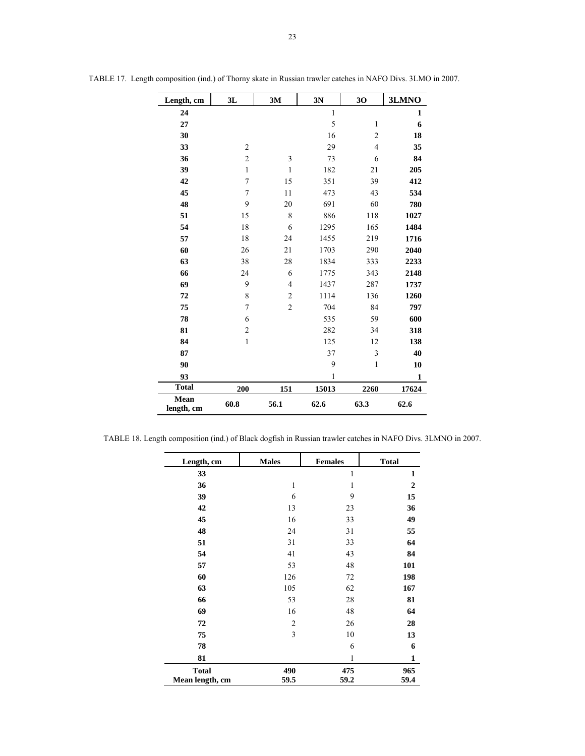| Length, cm         | 3L               | 3M             | 3N           | 30             | 3LMNO        |
|--------------------|------------------|----------------|--------------|----------------|--------------|
| 24                 |                  |                | $\mathbf{1}$ |                | $\mathbf{1}$ |
| 27                 |                  |                | 5            | $\mathbf{1}$   | 6            |
| 30                 |                  |                | 16           | $\overline{c}$ | 18           |
| 33                 | $\overline{2}$   |                | 29           | $\overline{4}$ | 35           |
| 36                 | $\sqrt{2}$       | 3              | 73           | 6              | 84           |
| 39                 | $\mathbf{1}$     | $\,1\,$        | 182          | 21             | 205          |
| 42                 | $\boldsymbol{7}$ | 15             | 351          | 39             | 412          |
| 45                 | $\boldsymbol{7}$ | 11             | 473          | 43             | 534          |
| 48                 | 9                | 20             | 691          | 60             | 780          |
| 51                 | 15               | 8              | 886          | 118            | 1027         |
| 54                 | 18               | 6              | 1295         | 165            | 1484         |
| 57                 | 18               | 24             | 1455         | 219            | 1716         |
| 60                 | 26               | 21             | 1703         | 290            | 2040         |
| 63                 | 38               | 28             | 1834         | 333            | 2233         |
| 66                 | 24               | 6              | 1775         | 343            | 2148         |
| 69                 | 9                | $\overline{4}$ | 1437         | 287            | 1737         |
| 72                 | 8                | $\overline{c}$ | 1114         | 136            | 1260         |
| 75                 | $\sqrt{ }$       | $\overline{c}$ | 704          | 84             | 797          |
| 78                 | 6                |                | 535          | 59             | 600          |
| 81                 | $\sqrt{2}$       |                | 282          | 34             | 318          |
| 84                 | $\,1$            |                | 125          | 12             | 138          |
| 87                 |                  |                | 37           | 3              | 40           |
| 90                 |                  |                | 9            | $\mathbf{1}$   | 10           |
| 93                 |                  |                | 1            |                | $\mathbf{1}$ |
| <b>Total</b>       | 200              | 151            | 15013        | 2260           | 17624        |
| Mean<br>length, cm | 60.8             | 56.1           | 62.6         | 63.3           | 62.6         |

TABLE 17. Length composition (ind.) of Thorny skate in Russian trawler catches in NAFO Divs. 3LMO in 2007.

TABLE 18. Length composition (ind.) of Black dogfish in Russian trawler catches in NAFO Divs. 3LMNO in 2007.

| Length, cm                      | <b>Males</b>   | <b>Females</b> | <b>Total</b>   |
|---------------------------------|----------------|----------------|----------------|
| 33                              |                | 1              | $\mathbf{1}$   |
| 36                              | 1              | 1              | $\overline{2}$ |
| 39                              | 6              | 9              | 15             |
| 42                              | 13             | 23             | 36             |
| 45                              | 16             | 33             | 49             |
| 48                              | 24             | 31             | 55             |
| 51                              | 31             | 33             | 64             |
| 54                              | 41             | 43             | 84             |
| 57                              | 53             | 48             | 101            |
| 60                              | 126            | 72             | 198            |
| 63                              | 105            | 62             | 167            |
| 66                              | 53             | 28             | 81             |
| 69                              | 16             | 48             | 64             |
| 72                              | $\overline{2}$ | 26             | 28             |
| 75                              | 3              | 10             | 13             |
| 78                              |                | 6              | 6              |
| 81                              |                | 1              | 1              |
| <b>Total</b><br>Mean length, cm | 490<br>59.5    | 475<br>59.2    | 965<br>59.4    |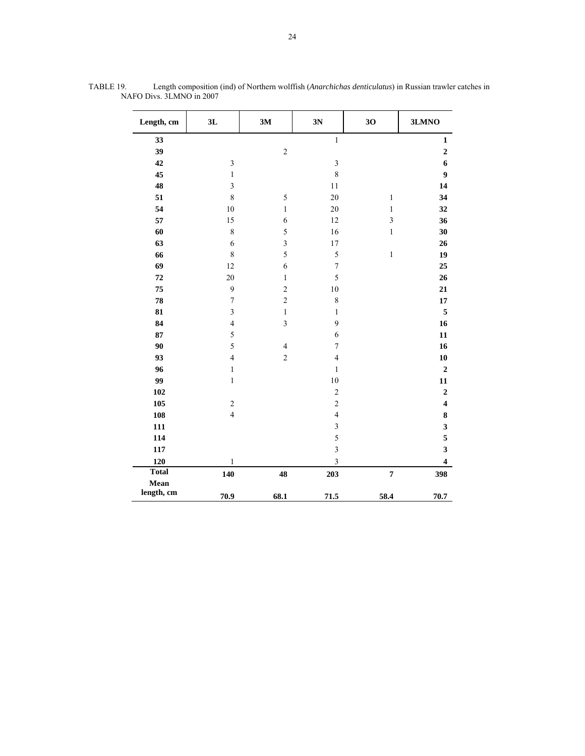| Length, cm         | 3L                      | 3M             | 3N                      | 30                      | 3LMNO                   |
|--------------------|-------------------------|----------------|-------------------------|-------------------------|-------------------------|
| 33                 |                         |                | $\mathbf{1}$            |                         | $\mathbf{1}$            |
| 39                 |                         | $\overline{c}$ |                         |                         | $\overline{2}$          |
| 42                 | $\overline{\mathbf{3}}$ |                | $\overline{\mathbf{3}}$ |                         | 6                       |
| 45                 | $\mathbf{1}$            |                | 8                       |                         | 9                       |
| 48                 | $\overline{\mathbf{3}}$ |                | $1\,1$                  |                         | 14                      |
| 51                 | 8                       | 5              | $20\,$                  | $\,1\,$                 | 34                      |
| 54                 | 10                      | $\mathbf{1}$   | $20\,$                  | $\mathbf{1}$            | 32                      |
| 57                 | 15                      | 6              | 12                      | $\overline{\mathbf{3}}$ | 36                      |
| 60                 | $\,$ 8 $\,$             | 5              | 16                      | $\mathbf{1}$            | 30                      |
| 63                 | 6                       | 3              | 17                      |                         | 26                      |
| 66                 | $\,$ 8 $\,$             | 5              | 5                       | $\mathbf{1}$            | 19                      |
| 69                 | 12                      | 6              | $\sqrt{ }$              |                         | 25                      |
| 72                 | 20                      | $\mathbf{1}$   | 5                       |                         | 26                      |
| 75                 | 9                       | $\overline{c}$ | $10\,$                  |                         | 21                      |
| 78                 | $\overline{7}$          | $\overline{c}$ | 8                       |                         | 17                      |
| 81                 | $\overline{\mathbf{3}}$ | $\,1$          | $\,1$                   |                         | 5                       |
| 84                 | $\overline{4}$          | 3              | 9                       |                         | 16                      |
| 87                 | 5                       |                | 6                       |                         | 11                      |
| 90                 | 5                       | $\overline{4}$ | $\sqrt{ }$              |                         | 16                      |
| 93                 | $\overline{4}$          | $\overline{c}$ | $\overline{4}$          |                         | ${\bf 10}$              |
| 96                 | $\,1\,$                 |                | $\mathbf{1}$            |                         | $\boldsymbol{2}$        |
| 99                 | $\,1$                   |                | 10                      |                         | 11                      |
| 102                |                         |                | $\overline{c}$          |                         | $\bf 2$                 |
| 105                | $\overline{c}$          |                | $\overline{c}$          |                         | $\overline{\mathbf{4}}$ |
| 108                | $\overline{4}$          |                | $\overline{4}$          |                         | $\bf 8$                 |
| 111                |                         |                | $\overline{\mathbf{3}}$ |                         | 3                       |
| 114                |                         |                | 5                       |                         | 5                       |
| 117                |                         |                | $\overline{\mathbf{3}}$ |                         | 3                       |
| 120                | 1                       |                | 3                       |                         | $\overline{\mathbf{4}}$ |
| <b>Total</b>       | 140                     | 48             | 203                     | $\overline{\mathbf{7}}$ | 398                     |
| Mean<br>length, cm | 70.9                    | 68.1           | 71.5                    | 58.4                    | 70.7                    |

TABLE 19. Length composition (ind) of Northern wolffish (*Anarchichas denticulatus*) in Russian trawler catches in NAFO Divs. 3LMNO in 2007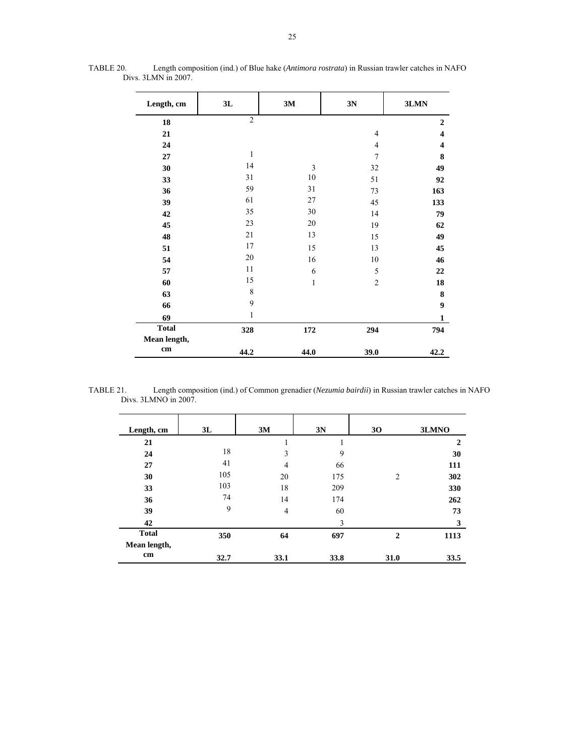| Length, cm   | 3L             | 3M             | 3N             | 3LMN                    |
|--------------|----------------|----------------|----------------|-------------------------|
| 18           | $\overline{2}$ |                |                | $\overline{2}$          |
| 21           |                |                | 4              | 4                       |
| 24           |                |                | $\overline{4}$ | $\overline{\mathbf{4}}$ |
| 27           | $\mathbf{1}$   |                | $\overline{7}$ | 8                       |
| 30           | 14             | $\mathfrak{Z}$ | 32             | 49                      |
| 33           | 31             | 10             | 51             | 92                      |
| 36           | 59             | 31             | 73             | 163                     |
| 39           | 61             | 27             | 45             | 133                     |
| 42           | 35             | 30             | 14             | 79                      |
| 45           | 23             | 20             | 19             | 62                      |
| 48           | 21             | 13             | 15             | 49                      |
| 51           | 17             | 15             | 13             | 45                      |
| 54           | 20             | 16             | 10             | 46                      |
| 57           | 11             | 6              | 5              | 22                      |
| 60           | 15             | $\mathbf{1}$   | $\overline{c}$ | 18                      |
| 63           | $\,$ 8 $\,$    |                |                | 8                       |
| 66           | $\mathbf{9}$   |                |                | $\boldsymbol{9}$        |
| 69           | 1              |                |                | 1                       |
| <b>Total</b> | 328            | 172            | 294            | 794                     |
| Mean length, |                |                |                |                         |
| cm           | 44.2           | 44.0           | 39.0           | 42.2                    |

TABLE 20. Length composition (ind.) of Blue hake (*Antimora rostrata*) in Russian trawler catches in NAFO Divs. 3LMN in 2007.

TABLE 21. Length composition (ind.) of Common grenadier (*Nezumia bairdii*) in Russian trawler catches in NAFO Divs. 3LMNO in 2007.

| Length, cm   | 3L   | 3M             | 3N   | 30             | 3LMNO        |
|--------------|------|----------------|------|----------------|--------------|
| 21           |      |                |      |                | $\mathbf{2}$ |
| 24           | 18   | 3              | 9    |                | 30           |
| 27           | 41   | 4              | 66   |                | 111          |
| 30           | 105  | 20             | 175  | $\overline{2}$ | 302          |
| 33           | 103  | 18             | 209  |                | 330          |
| 36           | 74   | 14             | 174  |                | 262          |
| 39           | 9    | $\overline{4}$ | 60   |                | 73           |
| 42           |      |                | 3    |                | 3            |
| <b>Total</b> | 350  | 64             | 697  | $\overline{2}$ | 1113         |
| Mean length, |      |                |      |                |              |
| cm           | 32.7 | 33.1           | 33.8 | 31.0           | 33.5         |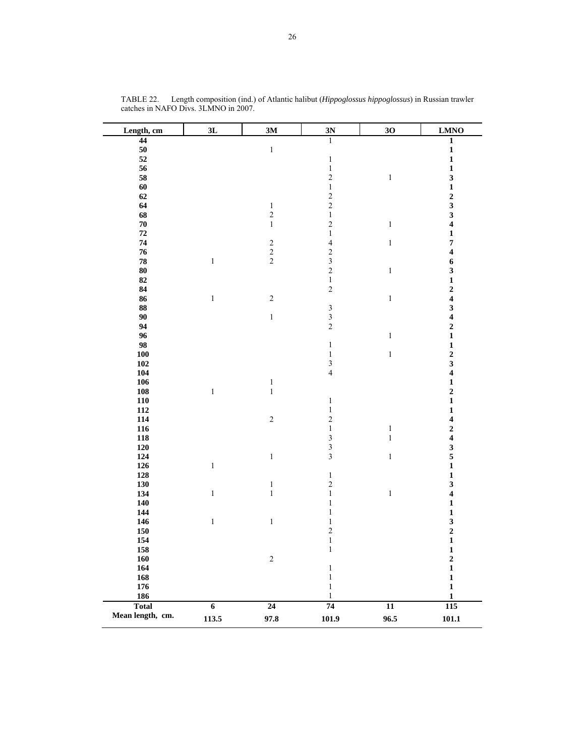| Length, cm       | 3L             | 3M                                         | 3N                                         | 30              | <b>LMNO</b>             |
|------------------|----------------|--------------------------------------------|--------------------------------------------|-----------------|-------------------------|
| 44               |                |                                            | $\overline{1}$                             |                 | $\mathbf{1}$            |
| ${\bf 50}$       |                | $\,1$                                      |                                            |                 | $\mathbf{1}$            |
| 52               |                |                                            | $\,1$                                      |                 | $\mathbf{1}$            |
| 56               |                |                                            | $\,1\,$                                    |                 | $\mathbf{1}$            |
| 58               |                |                                            | $\overline{c}$                             | $\,1$           | $\overline{\mathbf{3}}$ |
| 60               |                |                                            | $\,1$                                      |                 | $\mathbf{1}$            |
| 62               |                |                                            | $\frac{2}{2}$                              |                 | $\frac{2}{3}$           |
| 64               |                | $\,1\,$                                    |                                            |                 |                         |
| 68               |                | $\overline{c}$                             | $\,1$                                      |                 | $\overline{\mathbf{3}}$ |
| ${\bf 70}$       |                | $\,1\,$                                    | $\overline{\mathbf{c}}$                    | $\,1$           | $\overline{\mathbf{4}}$ |
| ${\bf 72}$       |                |                                            | $\,1$                                      |                 | $\mathbf{1}$            |
| 74               |                |                                            | $\overline{4}$                             | $\,1$           | $\overline{7}$          |
| ${\bf 76}$       |                | $\begin{array}{c} 2 \\ 2 \\ 2 \end{array}$ |                                            |                 | $\overline{\mathbf{4}}$ |
| 78               | $\,1$          |                                            | $\begin{array}{c} 2 \\ 3 \\ 2 \end{array}$ |                 | 6                       |
| ${\bf 80}$       |                |                                            |                                            | $\,1$           | $\overline{\mathbf{3}}$ |
| 82               |                |                                            | $\,1$                                      |                 | $\mathbf{1}$            |
| 84               |                |                                            | $\sqrt{2}$                                 |                 | $\frac{2}{4}$           |
| 86               | $\,1\,$        | $\sqrt{2}$                                 |                                            | $\,1$           |                         |
| 88               |                |                                            |                                            |                 | $\overline{\mathbf{3}}$ |
| 90               |                | $\,1$                                      | $\begin{array}{c} 3 \\ 3 \\ 2 \end{array}$ |                 | $\overline{\mathbf{4}}$ |
| 94               |                |                                            |                                            |                 | $\overline{\mathbf{c}}$ |
| 96               |                |                                            |                                            | $\,1$           | $\mathbf 1$             |
| 98               |                |                                            | $\,1$                                      |                 | $\mathbf{1}$            |
| <b>100</b>       |                |                                            | $\,1$                                      | $\,1$           | $\overline{\mathbf{c}}$ |
| 102              |                |                                            | $\frac{3}{4}$                              |                 | $\overline{\mathbf{3}}$ |
| 104              |                |                                            |                                            |                 | $\overline{\mathbf{4}}$ |
| 106              |                | $\,1\,$                                    |                                            |                 | $\mathbf{1}$            |
| ${\bf 108}$      | $\,1\,$        | $\,1$                                      |                                            |                 | $\overline{\mathbf{c}}$ |
| $\bf 110$        |                |                                            | $\,1\,$                                    |                 | $\mathbf{1}$            |
| 112              |                |                                            | $\,1$                                      |                 | $\mathbf{1}$            |
| 114              |                | $\sqrt{2}$                                 | $\overline{c}$                             |                 | $\overline{\mathbf{4}}$ |
| 116              |                |                                            | $\,1$                                      | $\mathbf{1}$    | $\overline{\mathbf{c}}$ |
| 118              |                |                                            | $\frac{3}{3}$                              | $\,1\,$         | $\overline{\mathbf{4}}$ |
| $120\,$          |                |                                            |                                            |                 | $\overline{\mathbf{3}}$ |
| 124              |                | $\,1$                                      | $\overline{\mathbf{3}}$                    | $\,1$           | 5                       |
| 126              | $\,1$          |                                            |                                            |                 | $\mathbf{1}$            |
| 128              |                |                                            | $\,1\,$                                    |                 | $\mathbf{1}$            |
| 130              |                | $\mathbf{1}$                               | $\overline{\mathbf{c}}$                    |                 | $\overline{\mathbf{3}}$ |
| 134              | $\,1\,$        | $\,1$                                      | $\,1$                                      | $\,1\,$         | $\overline{\mathbf{4}}$ |
| 140              |                |                                            | $\mathbf{1}$                               |                 | $\mathbf 1$             |
| 144              |                |                                            | $\,1$                                      |                 | $\mathbf{1}$            |
| 146              | $\,1$          | $\,1$                                      | $\,1$                                      |                 | $\overline{\mathbf{3}}$ |
| 150              |                |                                            | $\overline{\mathbf{c}}$                    |                 | $\overline{\mathbf{c}}$ |
| 154              |                |                                            | $\,1$                                      |                 | $\mathbf{1}$            |
| 158              |                |                                            | $\,1$                                      |                 | $\mathbf 1$             |
| 160              |                | $\sqrt{2}$                                 |                                            |                 | $\boldsymbol{2}$        |
| 164              |                |                                            | $\mathbf{1}$                               |                 | $\mathbf{1}$            |
| 168              |                |                                            | $\,1$                                      |                 | $\mathbf 1$             |
| ${\bf 176}$      |                |                                            | $\,1$                                      |                 | $\mathbf 1$             |
| 186              |                |                                            | $\mathbf{1}$                               |                 | $\mathbf{1}$            |
| <b>Total</b>     | $\overline{6}$ | 24                                         | 74                                         | $\overline{11}$ | 115                     |
| Mean length, cm. | 113.5          | 97.8                                       | 101.9                                      | 96.5            | 101.1                   |

TABLE 22. Length composition (ind.) of Atlantic halibut (*Hippoglossus hippoglossus*) in Russian trawler catches in NAFO Divs. 3LMNO in 2007.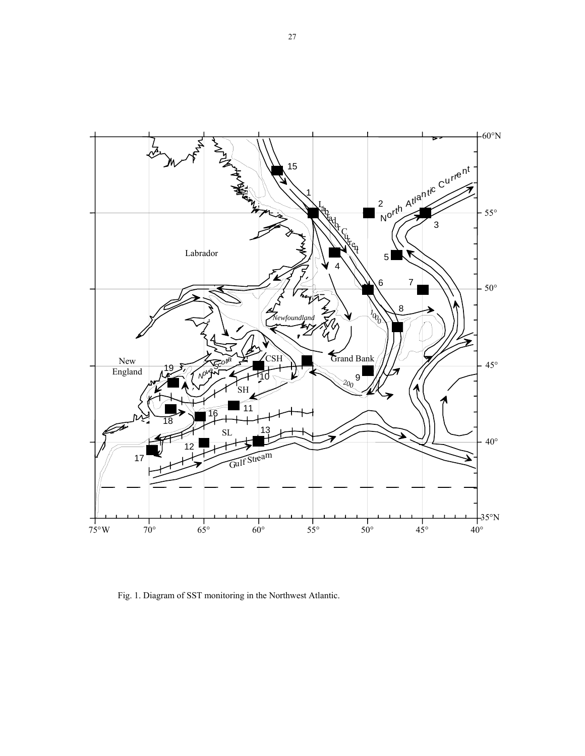

Fig. 1. Diagram of SST monitoring in the Northwest Atlantic.